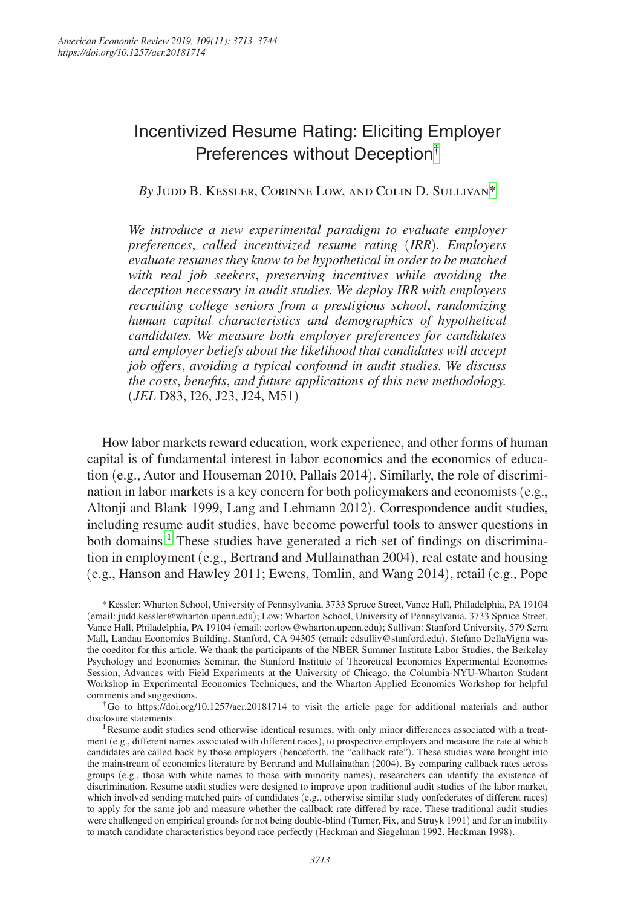# Incentivized Resume Rating: Eliciting Employer Preferences without Deception[†](#page-0-0)

*By* Judd B. Kessler, Corinne Low, and Colin D. Sulliva[n\\*](#page-0-1)

*We introduce a new experimental paradigm to evaluate employer preferences*, *called incentivized resume rating* (*IRR*)*. Employers evaluate resumes they know to be hypothetical in order to be matched with real job seekers*, *preserving incentives while avoiding the deception necessary in audit studies. We deploy IRR with employers recruiting college seniors from a prestigious school*, *randomizing human capital characteristics and demographics of hypothetical candidates. We measure both employer preferences for candidates and employer beliefs about the likelihood that candidates will accept job offers*, *avoiding a typical confound in audit studies. We discuss the costs*, *benefits*, *and future applications of this new methodology.*  (*JEL* D83, I26, J23, J24, M51)

How labor markets reward education, work experience, and other forms of human capital is of fundamental interest in labor economics and the economics of education (e.g., Autor and Houseman 2010, Pallais 2014). Similarly, the role of discrimination in labor markets is a key concern for both policymakers and economists (e.g., Altonji and Blank 1999, Lang and Lehmann 2012). Correspondence audit studies, including resume audit studies, have become powerful tools to answer questions in both domains.<sup>1</sup> These studies have generated a rich set of findings on discrimination in employment (e.g., Bertrand and Mullainathan 2004), real estate and housing (e.g., Hanson and Hawley 2011; Ewens, Tomlin, and Wang 2014), retail (e.g., Pope

<span id="page-0-1"></span>\*Kessler: Wharton School, University of Pennsylvania, 3733 Spruce Street, Vance Hall, Philadelphia, PA 19104 (email: [judd.kessler@wharton.upenn.edu](mailto:judd.kessler@wharton.upenn.edu)); Low: Wharton School, University of Pennsylvania, 3733 Spruce Street, Vance Hall, Philadelphia, PA 19104 (email: [corlow@wharton.upenn.edu](mailto:corlow@wharton.upenn.edu)); Sullivan: Stanford University, 579 Serra Mall, Landau Economics Building, Stanford, CA 94305 (email: [cdsulliv@stanford.edu](mailto:cdsulliv@stanford.edu)). Stefano DellaVigna was the coeditor for this article. We thank the participants of the NBER Summer Institute Labor Studies, the Berkeley Psychology and Economics Seminar, the Stanford Institute of Theoretical Economics Experimental Economics Session, Advances with Field Experiments at the University of Chicago, the Columbia-NYU-Wharton Student Workshop in Experimental Economics Techniques, and the Wharton Applied Economics Workshop for helpful comments and suggestions.

<span id="page-0-0"></span>†Go to <https://doi.org/10.1257/aer.20181714>to visit the article page for additional materials and author disclosure statements.

1Resume audit studies send otherwise identical resumes, with only minor differences associated with a treatment (e.g., different names associated with different races), to prospective employers and measure the rate at which candidates are called back by those employers (henceforth, the "callback rate"). These studies were brought into the mainstream of economics literature by Bertrand and Mullainathan (2004). By comparing callback rates across groups (e.g., those with white names to those with minority names), researchers can identify the existence of discrimination. Resume audit studies were designed to improve upon traditional audit studies of the labor market, which involved sending matched pairs of candidates (e.g., otherwise similar study confederates of different races) to apply for the same job and measure whether the callback rate differed by race. These traditional audit studies were challenged on empirical grounds for not being double-blind (Turner, Fix, and Struyk 1991) and for an inability to match candidate characteristics beyond race perfectly (Heckman and Siegelman 1992, Heckman 1998).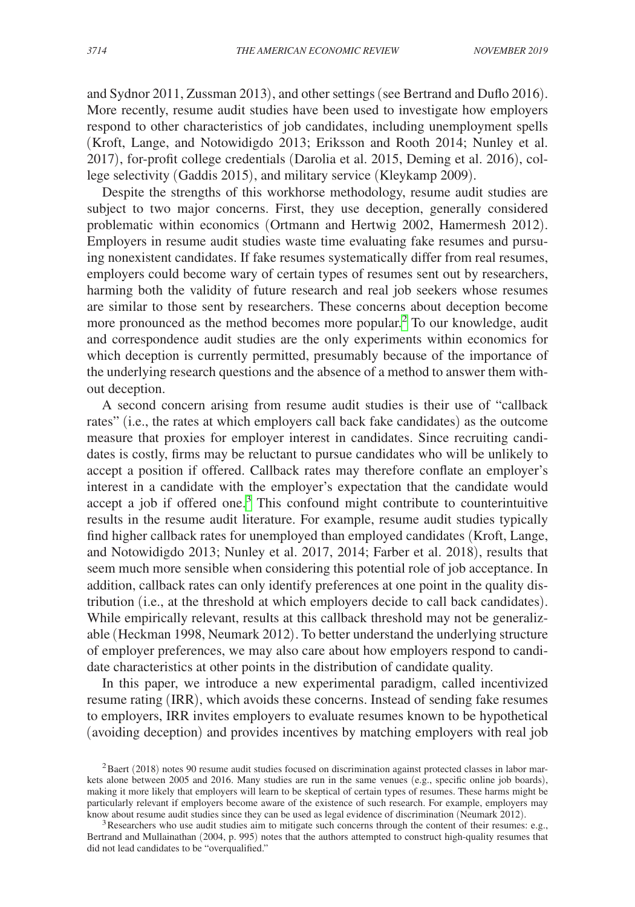and Sydnor 2011, Zussman 2013), and other settings (see Bertrand and Duflo 2016). More recently, resume audit studies have been used to investigate how employers respond to other characteristics of job candidates, including unemployment spells (Kroft, Lange, and Notowidigdo 2013; Eriksson and Rooth 2014; Nunley et al. 2017), for-profit college credentials (Darolia et al. 2015, Deming et al. 2016), college selectivity (Gaddis 2015), and military service (Kleykamp 2009).

Despite the strengths of this workhorse methodology, resume audit studies are subject to two major concerns. First, they use deception, generally considered problematic within economics (Ortmann and Hertwig 2002, Hamermesh 2012). Employers in resume audit studies waste time evaluating fake resumes and pursuing nonexistent candidates. If fake resumes systematically differ from real resumes, employers could become wary of certain types of resumes sent out by researchers, harming both the validity of future research and real job seekers whose resumes are similar to those sent by researchers. These concerns about deception become more pronounced as the method becomes more popular.<sup>[2](#page-1-0)</sup> To our knowledge, audit and correspondence audit studies are the only experiments within economics for which deception is currently permitted, presumably because of the importance of the underlying research questions and the absence of a method to answer them without deception.

A second concern arising from resume audit studies is their use of "callback rates" (i.e., the rates at which employers call back fake candidates) as the outcome measure that proxies for employer interest in candidates. Since recruiting candidates is costly, firms may be reluctant to pursue candidates who will be unlikely to accept a position if offered. Callback rates may therefore conflate an employer's interest in a candidate with the employer's expectation that the candidate would  $accept a job if offered one.<sup>3</sup> This confound might contribute to counterintuitive$ results in the resume audit literature. For example, resume audit studies typically find higher callback rates for unemployed than employed candidates (Kroft, Lange, and Notowidigdo 2013; Nunley et al. 2017, 2014; Farber et al. 2018), results that seem much more sensible when considering this potential role of job acceptance. In addition, callback rates can only identify preferences at one point in the quality distribution (i.e., at the threshold at which employers decide to call back candidates). While empirically relevant, results at this callback threshold may not be generalizable (Heckman 1998, Neumark 2012). To better understand the underlying structure of employer preferences, we may also care about how employers respond to candidate characteristics at other points in the distribution of candidate quality.

In this paper, we introduce a new experimental paradigm, called incentivized resume rating (IRR), which avoids these concerns. Instead of sending fake resumes to employers, IRR invites employers to evaluate resumes known to be hypothetical (avoiding deception) and provides incentives by matching employers with real job

<span id="page-1-0"></span><sup>&</sup>lt;sup>2</sup>Baert (2018) notes 90 resume audit studies focused on discrimination against protected classes in labor markets alone between 2005 and 2016. Many studies are run in the same venues (e.g., specific online job boards), making it more likely that employers will learn to be skeptical of certain types of resumes. These harms might be particularly relevant if employers become aware of the existence of such research. For example, employers may know about resume audit studies since they can be used as legal evidence of discrimination (Neumark 2012).  $3$ Researchers who use audit studies aim to mitigate such concerns through the content of their resumes: e.g.,

<span id="page-1-1"></span>Bertrand and Mullainathan (2004, p. 995) notes that the authors attempted to construct high-quality resumes that did not lead candidates to be "overqualified."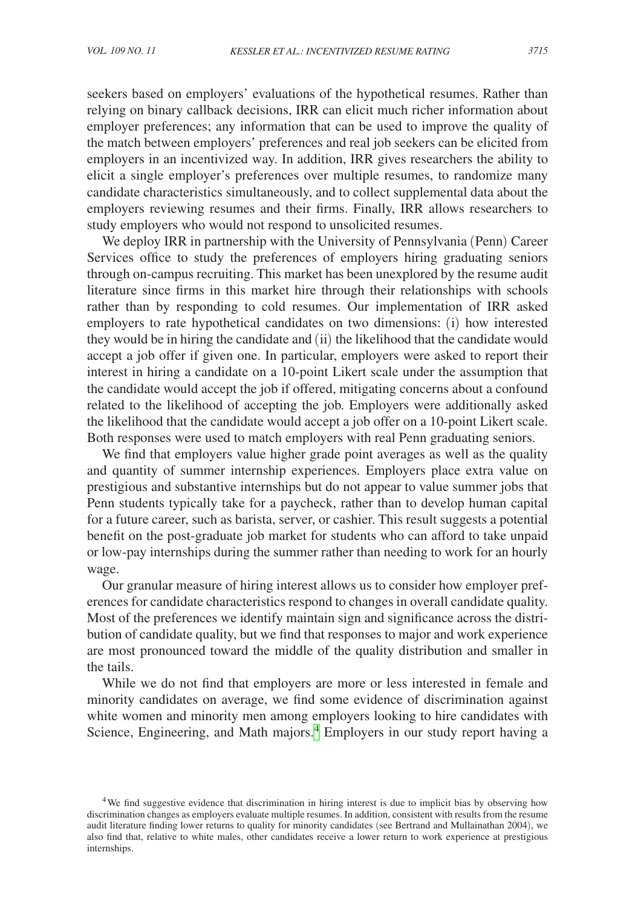seekers based on employers' evaluations of the hypothetical resumes. Rather than relying on binary callback decisions, IRR can elicit much richer information about employer preferences; any information that can be used to improve the quality of the match between employers' preferences and real job seekers can be elicited from employers in an incentivized way. In addition, IRR gives researchers the ability to elicit a single employer's preferences over multiple resumes, to randomize many candidate characteristics simultaneously, and to collect supplemental data about the employers reviewing resumes and their firms. Finally, IRR allows researchers to study employers who would not respond to unsolicited resumes.

We deploy IRR in partnership with the University of Pennsylvania (Penn) Career Services office to study the preferences of employers hiring graduating seniors through on-campus recruiting. This market has been unexplored by the resume audit literature since firms in this market hire through their relationships with schools rather than by responding to cold resumes. Our implementation of IRR asked employers to rate hypothetical candidates on two dimensions: (i) how interested they would be in hiring the candidate and (ii) the likelihood that the candidate would accept a job offer if given one. In particular, employers were asked to report their interest in hiring a candidate on a 10-point Likert scale under the assumption that the candidate would accept the job if offered, mitigating concerns about a confound related to the likelihood of accepting the job. Employers were additionally asked the likelihood that the candidate would accept a job offer on a 10-point Likert scale. Both responses were used to match employers with real Penn graduating seniors.

We find that employers value higher grade point averages as well as the quality and quantity of summer internship experiences. Employers place extra value on prestigious and substantive internships but do not appear to value summer jobs that Penn students typically take for a paycheck, rather than to develop human capital for a future career, such as barista, server, or cashier. This result suggests a potential benefit on the post-graduate job market for students who can afford to take unpaid or low-pay internships during the summer rather than needing to work for an hourly wage.

Our granular measure of hiring interest allows us to consider how employer preferences for candidate characteristics respond to changes in overall candidate quality. Most of the preferences we identify maintain sign and significance across the distribution of candidate quality, but we find that responses to major and work experience are most pronounced toward the middle of the quality distribution and smaller in the tails.

While we do not find that employers are more or less interested in female and minority candidates on average, we find some evidence of discrimination against white women and minority men among employers looking to hire candidates with Science, Engineering, and Math majors.<sup>4</sup> Employers in our study report having a

<span id="page-2-0"></span><sup>4</sup>We find suggestive evidence that discrimination in hiring interest is due to implicit bias by observing how discrimination changes as employers evaluate multiple resumes. In addition, consistent with results from the resume audit literature finding lower returns to quality for minority candidates (see Bertrand and Mullainathan 2004), we also find that, relative to white males, other candidates receive a lower return to work experience at prestigious internships.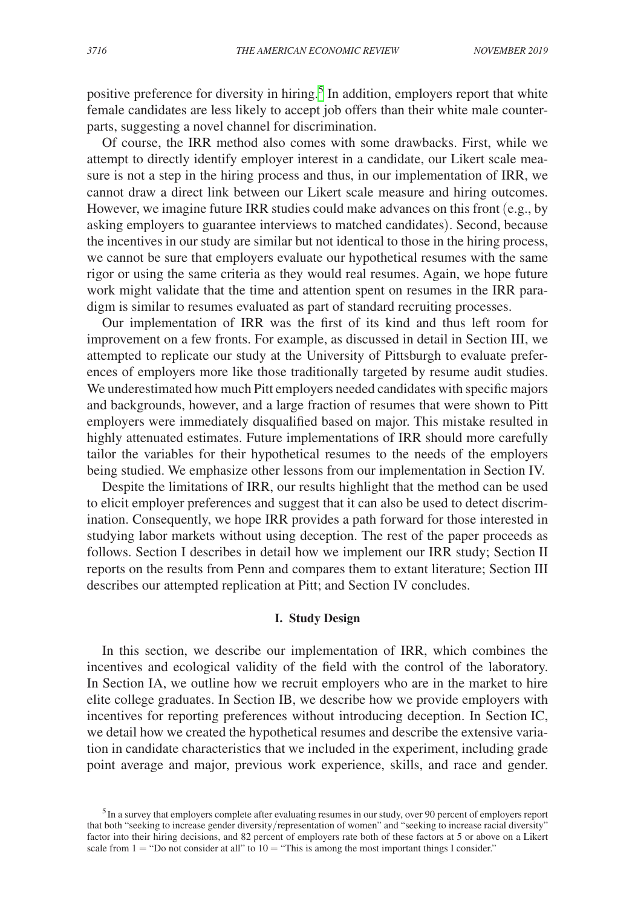positive preference for diversity in hiring.<sup>[5](#page-3-0)</sup> In addition, employers report that white female candidates are less likely to accept job offers than their white male counterparts, suggesting a novel channel for discrimination.

Of course, the IRR method also comes with some drawbacks. First, while we attempt to directly identify employer interest in a candidate, our Likert scale measure is not a step in the hiring process and thus, in our implementation of IRR, we cannot draw a direct link between our Likert scale measure and hiring outcomes. However, we imagine future IRR studies could make advances on this front (e.g., by asking employers to guarantee interviews to matched candidates). Second, because the incentives in our study are similar but not identical to those in the hiring process, we cannot be sure that employers evaluate our hypothetical resumes with the same rigor or using the same criteria as they would real resumes. Again, we hope future work might validate that the time and attention spent on resumes in the IRR paradigm is similar to resumes evaluated as part of standard recruiting processes.

Our implementation of IRR was the first of its kind and thus left room for improvement on a few fronts. For example, as discussed in detail in Section III, we attempted to replicate our study at the University of Pittsburgh to evaluate preferences of employers more like those traditionally targeted by resume audit studies. We underestimated how much Pitt employers needed candidates with specific majors and backgrounds, however, and a large fraction of resumes that were shown to Pitt employers were immediately disqualified based on major. This mistake resulted in highly attenuated estimates. Future implementations of IRR should more carefully tailor the variables for their hypothetical resumes to the needs of the employers being studied. We emphasize other lessons from our implementation in Section IV.

Despite the limitations of IRR, our results highlight that the method can be used to elicit employer preferences and suggest that it can also be used to detect discrimination. Consequently, we hope IRR provides a path forward for those interested in studying labor markets without using deception. The rest of the paper proceeds as follows. Section I describes in detail how we implement our IRR study; Section II reports on the results from Penn and compares them to extant literature; Section III describes our attempted replication at Pitt; and Section IV concludes.

### **I. Study Design**

In this section, we describe our implementation of IRR, which combines the incentives and ecological validity of the field with the control of the laboratory. In Section IA, we outline how we recruit employers who are in the market to hire elite college graduates. In Section IB, we describe how we provide employers with incentives for reporting preferences without introducing deception. In Section IC, we detail how we created the hypothetical resumes and describe the extensive variation in candidate characteristics that we included in the experiment, including grade point average and major, previous work experience, skills, and race and gender.

<span id="page-3-0"></span><sup>5</sup>In a survey that employers complete after evaluating resumes in our study, over 90 percent of employers report that both "seeking to increase gender diversity/representation of women" and "seeking to increase racial diversity" factor into their hiring decisions, and 82 percent of employers rate both of these factors at 5 or above on a Likert scale from  $1 =$  "Do not consider at all" to  $10 =$  "This is among the most important things I consider."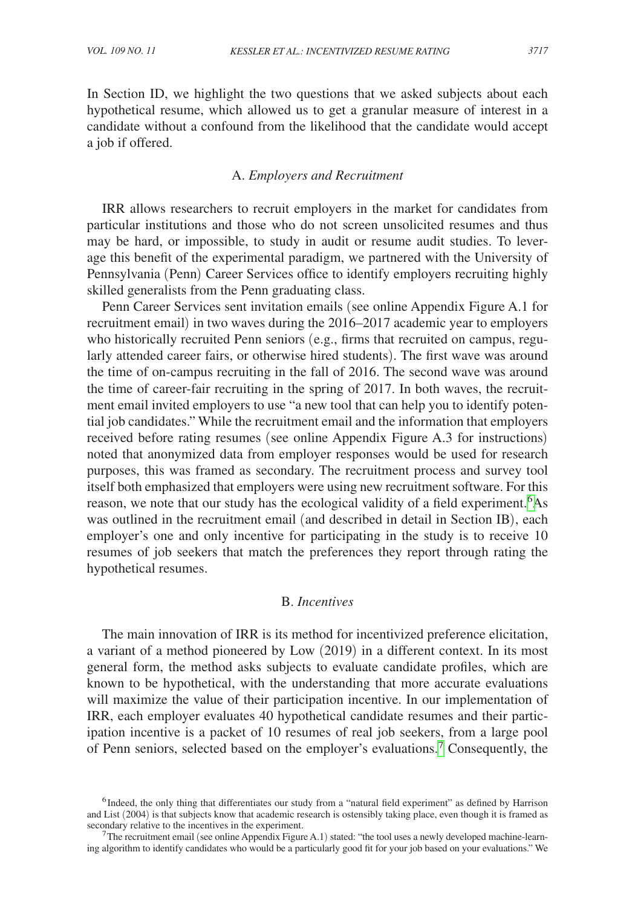In Section ID, we highlight the two questions that we asked subjects about each hypothetical resume, which allowed us to get a granular measure of interest in a candidate without a confound from the likelihood that the candidate would accept a job if offered.

## A. *Employers and Recruitment*

IRR allows researchers to recruit employers in the market for candidates from particular institutions and those who do not screen unsolicited resumes and thus may be hard, or impossible, to study in audit or resume audit studies. To leverage this benefit of the experimental paradigm, we partnered with the University of Pennsylvania (Penn) Career Services office to identify employers recruiting highly skilled generalists from the Penn graduating class.

Penn Career Services sent invitation emails (see online Appendix Figure A.1 for recruitment email) in two waves during the 2016–2017 academic year to employers who historically recruited Penn seniors (e.g., firms that recruited on campus, regularly attended career fairs, or otherwise hired students). The first wave was around the time of on-campus recruiting in the fall of 2016. The second wave was around the time of career-fair recruiting in the spring of 2017. In both waves, the recruitment email invited employers to use "a new tool that can help you to identify potential job candidates." While the recruitment email and the information that employers received before rating resumes (see online Appendix Figure A.3 for instructions) noted that anonymized data from employer responses would be used for research purposes, this was framed as secondary. The recruitment process and survey tool itself both emphasized that employers were using new recruitment software. For this reason, we note that our study has the ecological validity of a field experiment.<sup>[6](#page-4-0)</sup>As was outlined in the recruitment email (and described in detail in Section IB), each employer's one and only incentive for participating in the study is to receive 10 resumes of job seekers that match the preferences they report through rating the hypothetical resumes.

## B. *Incentives*

The main innovation of IRR is its method for incentivized preference elicitation, a variant of a method pioneered by Low (2019) in a different context. In its most general form, the method asks subjects to evaluate candidate profiles, which are known to be hypothetical, with the understanding that more accurate evaluations will maximize the value of their participation incentive. In our implementation of IRR, each employer evaluates 40 hypothetical candidate resumes and their participation incentive is a packet of 10 resumes of real job seekers, from a large pool of Penn seniors, selected based on the employer's evaluations.[7](#page-4-1) Consequently, the

<span id="page-4-0"></span><sup>&</sup>lt;sup>6</sup>Indeed, the only thing that differentiates our study from a "natural field experiment" as defined by Harrison and List (2004) is that subjects know that academic research is ostensibly taking place, even though it is framed as secondary relative to the incentives in the experiment.

<span id="page-4-1"></span> $<sup>7</sup>$ The recruitment email (see online Appendix Figure A.1) stated: "the tool uses a newly developed machine-learn-</sup> ing algorithm to identify candidates who would be a particularly good fit for your job based on your evaluations." We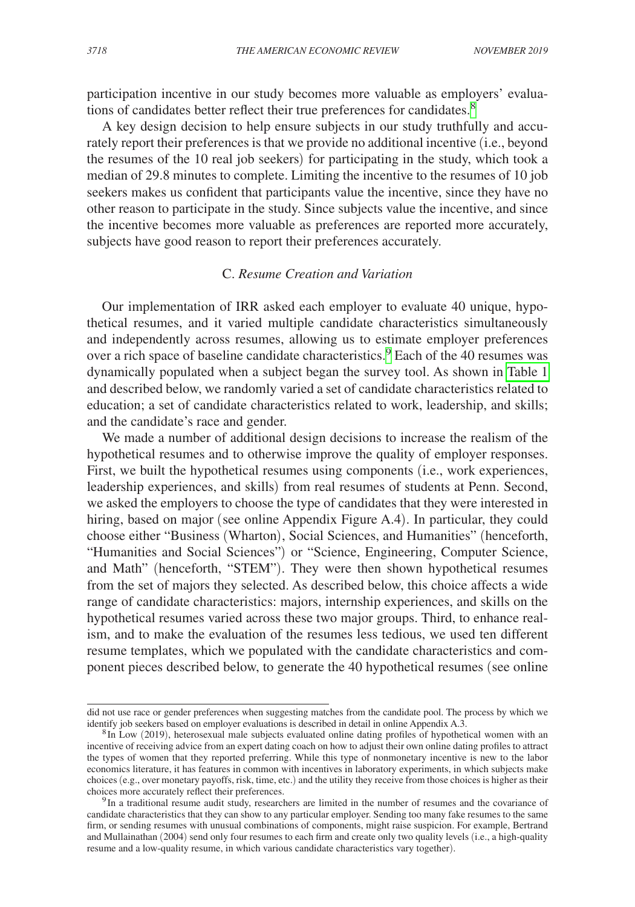participation incentive in our study becomes more valuable as employers' evaluations of candidates better reflect their true preferences for candidates.<sup>8</sup>

A key design decision to help ensure subjects in our study truthfully and accurately report their preferences is that we provide no additional incentive (i.e., beyond the resumes of the 10 real job seekers) for participating in the study, which took a median of 29.8 minutes to complete. Limiting the incentive to the resumes of 10 job seekers makes us confident that participants value the incentive, since they have no other reason to participate in the study. Since subjects value the incentive, and since the incentive becomes more valuable as preferences are reported more accurately, subjects have good reason to report their preferences accurately.

## C. *Resume Creation and Variation*

Our implementation of IRR asked each employer to evaluate 40 unique, hypothetical resumes, and it varied multiple candidate characteristics simultaneously and independently across resumes, allowing us to estimate employer preferences over a rich space of baseline candidate characteristics.<sup>9</sup> Each of the 40 resumes was dynamically populated when a subject began the survey tool. As shown in [Table](#page-6-0) 1 and described below, we randomly varied a set of candidate characteristics related to education; a set of candidate characteristics related to work, leadership, and skills; and the candidate's race and gender.

We made a number of additional design decisions to increase the realism of the hypothetical resumes and to otherwise improve the quality of employer responses. First, we built the hypothetical resumes using components (i.e., work experiences, leadership experiences, and skills) from real resumes of students at Penn. Second, we asked the employers to choose the type of candidates that they were interested in hiring, based on major (see online Appendix Figure A.4). In particular, they could choose either "Business (Wharton), Social Sciences, and Humanities" (henceforth, "Humanities and Social Sciences") or "Science, Engineering, Computer Science, and Math" (henceforth, "STEM"). They were then shown hypothetical resumes from the set of majors they selected. As described below, this choice affects a wide range of candidate characteristics: majors, internship experiences, and skills on the hypothetical resumes varied across these two major groups. Third, to enhance realism, and to make the evaluation of the resumes less tedious, we used ten different resume templates, which we populated with the candidate characteristics and component pieces described below, to generate the 40 hypothetical resumes (see online

did not use race or gender preferences when suggesting matches from the candidate pool. The process by which we<br>identify job seekers based on employer evaluations is described in detail in online Appendix A.3.

<span id="page-5-0"></span> ${}^{8}$ In Low (2019), heterosexual male subjects evaluated online dating profiles of hypothetical women with an incentive of receiving advice from an expert dating coach on how to adjust their own online dating profiles to attract the types of women that they reported preferring. While this type of nonmonetary incentive is new to the labor economics literature, it has features in common with incentives in laboratory experiments, in which subjects make choices (e.g., over monetary payoffs, risk, time, etc.) and the utility they receive from those choices is higher as their

<span id="page-5-1"></span><sup>&</sup>lt;sup>9</sup>In a traditional resume audit study, researchers are limited in the number of resumes and the covariance of candidate characteristics that they can show to any particular employer. Sending too many fake resumes to the same firm, or sending resumes with unusual combinations of components, might raise suspicion. For example, Bertrand and Mullainathan (2004) send only four resumes to each firm and create only two quality levels (i.e., a high-quality resume and a low-quality resume, in which various candidate characteristics vary together).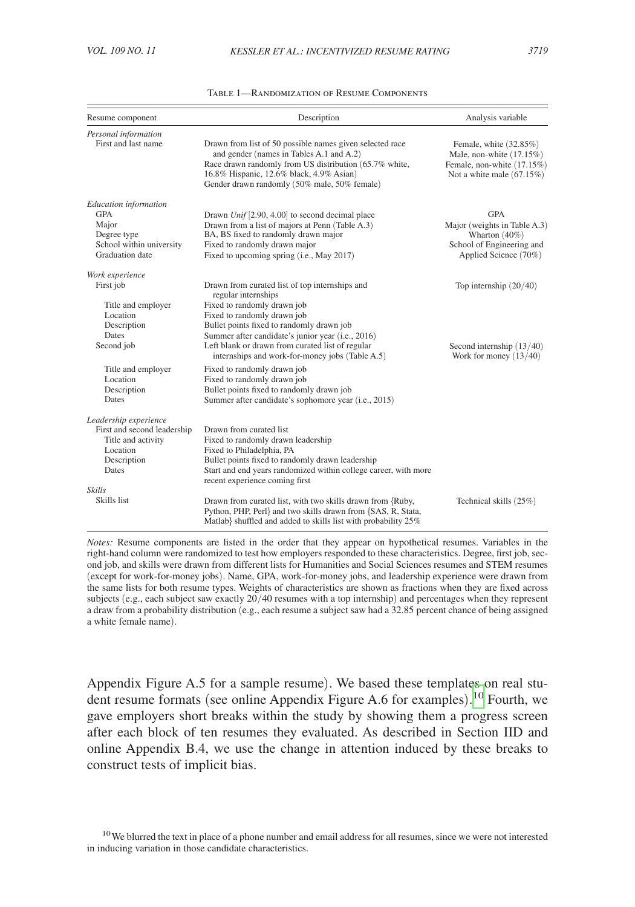<span id="page-6-0"></span>

| Resume component                                                                                                                                   | Description                                                                                                                                                                                                                                                                                                                                                                             | Analysis variable                                                                                                    |
|----------------------------------------------------------------------------------------------------------------------------------------------------|-----------------------------------------------------------------------------------------------------------------------------------------------------------------------------------------------------------------------------------------------------------------------------------------------------------------------------------------------------------------------------------------|----------------------------------------------------------------------------------------------------------------------|
| Personal information<br>First and last name                                                                                                        | Drawn from list of 50 possible names given selected race<br>and gender (names in Tables A.1 and A.2)<br>Race drawn randomly from US distribution (65.7% white,<br>16.8% Hispanic, 12.6% black, 4.9% Asian)<br>Gender drawn randomly (50% male, 50% female)                                                                                                                              | Female, white (32.85%)<br>Male, non-white $(17.15%)$<br>Female, non-white (17.15%)<br>Not a white male $(67.15\%)$   |
| <b>Education</b> information<br><b>GPA</b><br>Major<br>Degree type<br>School within university<br>Graduation date                                  | Drawn Unif [2.90, 4.00] to second decimal place<br>Drawn from a list of majors at Penn (Table A.3)<br>BA, BS fixed to randomly drawn major<br>Fixed to randomly drawn major<br>Fixed to upcoming spring (i.e., May 2017)                                                                                                                                                                | <b>GPA</b><br>Major (weights in Table A.3)<br>Wharton $(40\%)$<br>School of Engineering and<br>Applied Science (70%) |
| Work experience<br>First job<br>Title and employer<br>Location<br>Description<br>Dates<br>Second job<br>Title and employer                         | Drawn from curated list of top internships and<br>regular internships<br>Fixed to randomly drawn job<br>Fixed to randomly drawn job<br>Bullet points fixed to randomly drawn job<br>Summer after candidate's junior year (i.e., 2016)<br>Left blank or drawn from curated list of regular<br>internships and work-for-money jobs (Table A.5)<br>Fixed to randomly drawn job             | Top internship $(20/40)$<br>Second internship (13/40)<br>Work for money $(13/40)$                                    |
| Location<br>Description<br>Dates<br>Leadership experience<br>First and second leadership<br>Title and activity<br>Location<br>Description<br>Dates | Fixed to randomly drawn job<br>Bullet points fixed to randomly drawn job<br>Summer after candidate's sophomore year (i.e., 2015)<br>Drawn from curated list<br>Fixed to randomly drawn leadership<br>Fixed to Philadelphia, PA<br>Bullet points fixed to randomly drawn leadership<br>Start and end years randomized within college career, with more<br>recent experience coming first |                                                                                                                      |
| <b>Skills</b><br>Skills list                                                                                                                       | Drawn from curated list, with two skills drawn from {Ruby,<br>Python, PHP, Perl} and two skills drawn from {SAS, R, Stata,<br>Matlab} shuffled and added to skills list with probability 25%                                                                                                                                                                                            | Technical skills (25%)                                                                                               |

| <b>TABLE 1-RANDOMIZATION OF RESUME COMPONENTS</b> |  |  |
|---------------------------------------------------|--|--|
|---------------------------------------------------|--|--|

*Notes:* Resume components are listed in the order that they appear on hypothetical resumes. Variables in the right-hand column were randomized to test how employers responded to these characteristics. Degree, first job, second job, and skills were drawn from different lists for Humanities and Social Sciences resumes and STEM resumes (except for work-for-money jobs). Name, GPA, work-for-money jobs, and leadership experience were drawn from the same lists for both resume types. Weights of characteristics are shown as fractions when they are fixed across subjects (e.g., each subject saw exactly  $20/40$  resumes with a top internship) and percentages when they represent a draw from a probability distribution (e.g., each resume a subject saw had a 32.85 percent chance of being assigned a white female name).

Appendix Figure A.5 for a sample resume). We based these templates on real student resume formats (see online Appendix Figure A.6 for examples). [10](#page-6-1) Fourth, we gave employers short breaks within the study by showing them a progress screen after each block of ten resumes they evaluated. As described in Section IID and online Appendix B.4, we use the change in attention induced by these breaks to construct tests of implicit bias.

<span id="page-6-1"></span><sup>&</sup>lt;sup>10</sup>We blurred the text in place of a phone number and email address for all resumes, since we were not interested in inducing variation in those candidate characteristics.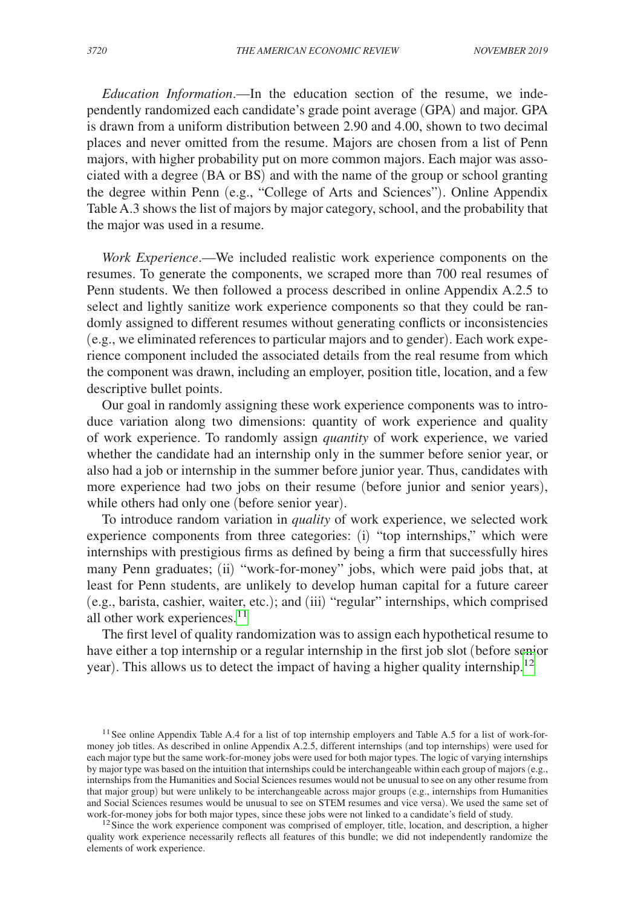*Education Information*.—In the education section of the resume, we independently randomized each candidate's grade point average (GPA) and major. GPA is drawn from a uniform distribution between 2.90 and 4.00, shown to two decimal places and never omitted from the resume. Majors are chosen from a list of Penn majors, with higher probability put on more common majors. Each major was associated with a degree (BA or BS) and with the name of the group or school granting the degree within Penn (e.g., "College of Arts and Sciences"). Online Appendix Table A.3 shows the list of majors by major category, school, and the probability that the major was used in a resume.

*Work Experience*.—We included realistic work experience components on the resumes. To generate the components, we scraped more than 700 real resumes of Penn students. We then followed a process described in online Appendix A.2.5 to select and lightly sanitize work experience components so that they could be randomly assigned to different resumes without generating conflicts or inconsistencies (e.g., we eliminated references to particular majors and to gender). Each work experience component included the associated details from the real resume from which the component was drawn, including an employer, position title, location, and a few descriptive bullet points.

Our goal in randomly assigning these work experience components was to introduce variation along two dimensions: quantity of work experience and quality of work experience. To randomly assign *quantity* of work experience, we varied whether the candidate had an internship only in the summer before senior year, or also had a job or internship in the summer before junior year. Thus, candidates with more experience had two jobs on their resume (before junior and senior years), while others had only one (before senior year).

To introduce random variation in *quality* of work experience, we selected work experience components from three categories: (i) "top internships," which were internships with prestigious firms as defined by being a firm that successfully hires many Penn graduates; (ii) "work-for-money" jobs, which were paid jobs that, at least for Penn students, are unlikely to develop human capital for a future career (e.g., barista, cashier, waiter, etc.); and (iii) "regular" internships, which comprised all other work experiences. $11$ 

The first level of quality randomization was to assign each hypothetical resume to have either a top internship or a regular internship in the first job slot (before senior year). This allows us to detect the impact of having a higher quality internship.<sup>[12](#page-7-1)</sup>

<span id="page-7-0"></span><sup>&</sup>lt;sup>11</sup> See online Appendix Table A.4 for a list of top internship employers and Table A.5 for a list of work-formoney job titles. As described in online Appendix A.2.5, different internships (and top internships) were used for each major type but the same work-for-money jobs were used for both major types. The logic of varying internships by major type was based on the intuition that internships could be interchangeable within each group of majors (e.g., internships from the Humanities and Social Sciences resumes would not be unusual to see on any other resume from that major group) but were unlikely to be interchangeable across major groups (e.g., internships from Humanities and Social Sciences resumes would be unusual to see on STEM resumes and vice versa). We used the same set of work-for-money jobs for both major types, since these jobs were not linked to a candidate's field of study.

<span id="page-7-1"></span> $12$  Since the work-experience component was comprised of employer, title, location, and description, a higher quality work experience necessarily reflects all features of this bundle; we did not independently randomize the elements of work experience.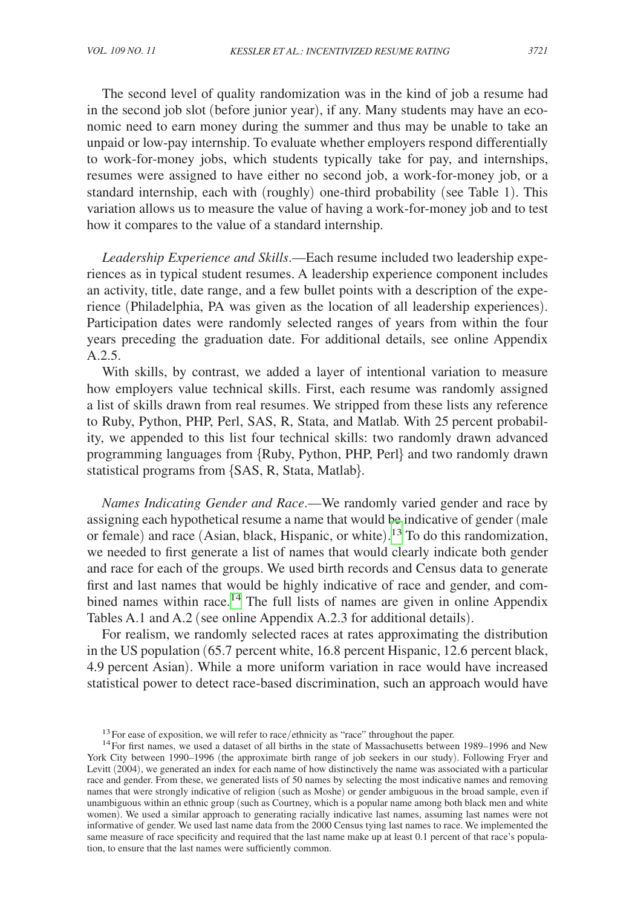The second level of quality randomization was in the kind of job a resume had in the second job slot (before junior year), if any. Many students may have an economic need to earn money during the summer and thus may be unable to take an unpaid or low-pay internship. To evaluate whether employers respond differentially to work-for-money jobs, which students typically take for pay, and internships, resumes were assigned to have either no second job, a work-for-money job, or a standard internship, each with (roughly) one-third probability (see Table 1). This variation allows us to measure the value of having a work-for-money job and to test how it compares to the value of a standard internship.

*Leadership Experience and Skills*.—Each resume included two leadership experiences as in typical student resumes. A leadership experience component includes an activity, title, date range, and a few bullet points with a description of the experience (Philadelphia, PA was given as the location of all leadership experiences). Participation dates were randomly selected ranges of years from within the four years preceding the graduation date. For additional details, see online Appendix A.2.5.

With skills, by contrast, we added a layer of intentional variation to measure how employers value technical skills. First, each resume was randomly assigned a list of skills drawn from real resumes. We stripped from these lists any reference to Ruby, Python, PHP, Perl, SAS, R, Stata, and Matlab. With 25 percent probability, we appended to this list four technical skills: two randomly drawn advanced programming languages from {Ruby, Python, PHP, Perl} and two randomly drawn statistical programs from {SAS, R, Stata, Matlab}.

*Names Indicating Gender and Race*.—We randomly varied gender and race by assigning each hypothetical resume a name that would be indicative of gender (male or female) and race (Asian, black, Hispanic, or white). [13](#page-8-0) To do this randomization, we needed to first generate a list of names that would clearly indicate both gender and race for each of the groups. We used birth records and Census data to generate first and last names that would be highly indicative of race and gender, and combined names within race.<sup>14</sup> The full lists of names are given in online Appendix Tables A.1 and A.2 (see online Appendix A.2.3 for additional details).

For realism, we randomly selected races at rates approximating the distribution in the US population (65.7 percent white, 16.8 percent Hispanic, 12.6 percent black, 4.9 percent Asian). While a more uniform variation in race would have increased statistical power to detect race-based discrimination, such an approach would have

<span id="page-8-1"></span><span id="page-8-0"></span>

<sup>&</sup>lt;sup>13</sup>For ease of exposition, we will refer to race/ethnicity as "race" throughout the paper.<br><sup>14</sup>For first names, we used a dataset of all births in the state of Massachusetts between 1989–1996 and New York City between 1990–1996 (the approximate birth range of job seekers in our study). Following Fryer and Levitt (2004), we generated an index for each name of how distinctively the name was associated with a particular race and gender. From these, we generated lists of 50 names by selecting the most indicative names and removing names that were strongly indicative of religion (such as Moshe) or gender ambiguous in the broad sample, even if unambiguous within an ethnic group (such as Courtney, which is a popular name among both black men and white women). We used a similar approach to generating racially indicative last names, assuming last names were not informative of gender. We used last name data from the 2000 Census tying last names to race. We implemented the same measure of race specificity and required that the last name make up at least 0.1 percent of that race's population, to ensure that the last names were sufficiently common.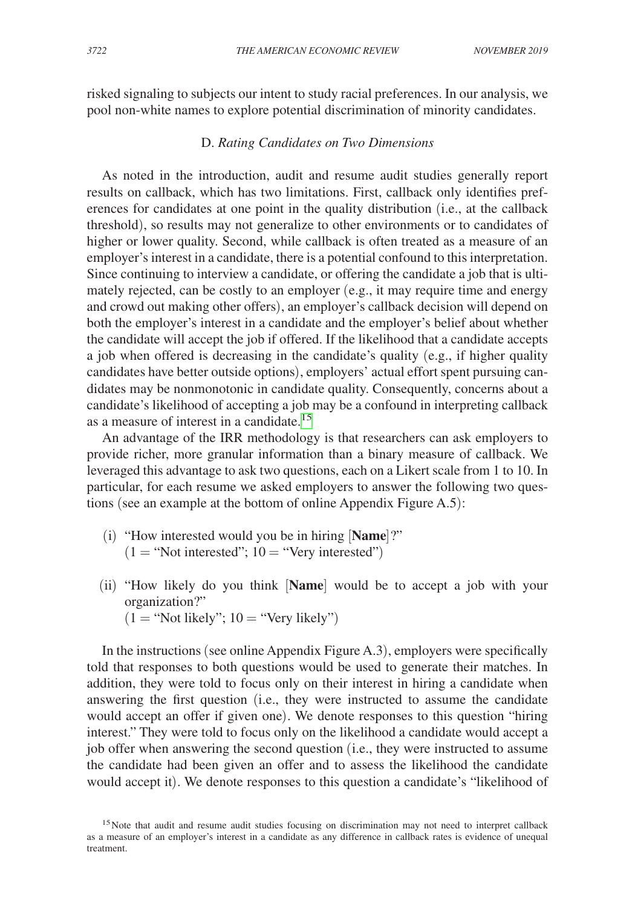risked signaling to subjects our intent to study racial preferences. In our analysis, we pool non-white names to explore potential discrimination of minority candidates.

# D. *Rating Candidates on Two Dimensions*

As noted in the introduction, audit and resume audit studies generally report results on callback, which has two limitations. First, callback only identifies preferences for candidates at one point in the quality distribution (i.e., at the callback threshold), so results may not generalize to other environments or to candidates of higher or lower quality. Second, while callback is often treated as a measure of an employer's interest in a candidate, there is a potential confound to this interpretation. Since continuing to interview a candidate, or offering the candidate a job that is ultimately rejected, can be costly to an employer (e.g., it may require time and energy and crowd out making other offers), an employer's callback decision will depend on both the employer's interest in a candidate and the employer's belief about whether the candidate will accept the job if offered. If the likelihood that a candidate accepts a job when offered is decreasing in the candidate's quality (e.g., if higher quality candidates have better outside options), employers' actual effort spent pursuing candidates may be nonmonotonic in candidate quality. Consequently, concerns about a candidate's likelihood of accepting a job may be a confound in interpreting callback as a measure of interest in a candidate.<sup>[15](#page-9-0)</sup>

An advantage of the IRR methodology is that researchers can ask employers to provide richer, more granular information than a binary measure of callback. We leveraged this advantage to ask two questions, each on a Likert scale from 1 to 10. In particular, for each resume we asked employers to answer the following two questions (see an example at the bottom of online Appendix Figure A.5):

- (i) "How interested would you be in hiring [**Name**]?"  $(1 = "Not interested"$ ;  $10 = "Very interested"$
- (ii) "How likely do you think [**Name**] would be to accept a job with your organization?"
	- $(1 = "Not likely"; 10 = "Very likely")$

In the instructions (see online Appendix Figure A.3), employers were specifically told that responses to both questions would be used to generate their matches. In addition, they were told to focus only on their interest in hiring a candidate when answering the first question (i.e., they were instructed to assume the candidate would accept an offer if given one). We denote responses to this question "hiring interest." They were told to focus only on the likelihood a candidate would accept a job offer when answering the second question (i.e., they were instructed to assume the candidate had been given an offer and to assess the likelihood the candidate would accept it). We denote responses to this question a candidate's "likelihood of

<span id="page-9-0"></span><sup>&</sup>lt;sup>15</sup>Note that audit and resume audit studies focusing on discrimination may not need to interpret callback as a measure of an employer's interest in a candidate as any difference in callback rates is evidence of unequal treatment.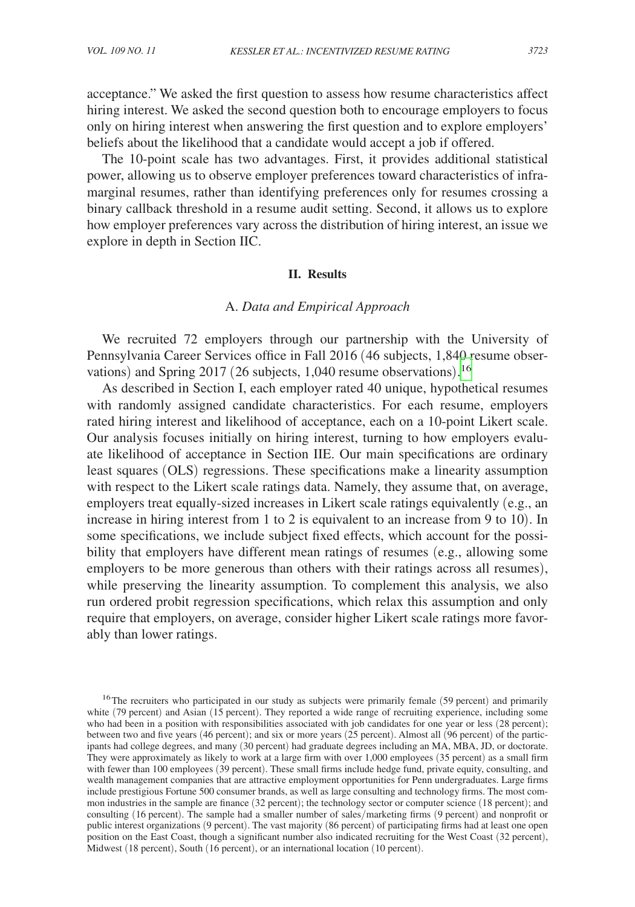acceptance." We asked the first question to assess how resume characteristics affect hiring interest. We asked the second question both to encourage employers to focus only on hiring interest when answering the first question and to explore employers' beliefs about the likelihood that a candidate would accept a job if offered.

The 10-point scale has two advantages. First, it provides additional statistical power, allowing us to observe employer preferences toward characteristics of inframarginal resumes, rather than identifying preferences only for resumes crossing a binary callback threshold in a resume audit setting. Second, it allows us to explore how employer preferences vary across the distribution of hiring interest, an issue we explore in depth in Section IIC.

#### **II. Results**

### A. *Data and Empirical Approach*

We recruited 72 employers through our partnership with the University of Pennsylvania Career Services office in Fall 2016 (46 subjects, 1,840 resume observations) and Spring 2017 (26 subjects, 1,040 resume observations). [16](#page-10-0)

As described in Section I, each employer rated 40 unique, hypothetical resumes with randomly assigned candidate characteristics. For each resume, employers rated hiring interest and likelihood of acceptance, each on a 10-point Likert scale. Our analysis focuses initially on hiring interest, turning to how employers evaluate likelihood of acceptance in Section IIE. Our main specifications are ordinary least squares (OLS) regressions. These specifications make a linearity assumption with respect to the Likert scale ratings data. Namely, they assume that, on average, employers treat equally-sized increases in Likert scale ratings equivalently (e.g., an increase in hiring interest from 1 to 2 is equivalent to an increase from 9 to 10). In some specifications, we include subject fixed effects, which account for the possibility that employers have different mean ratings of resumes (e.g., allowing some employers to be more generous than others with their ratings across all resumes), while preserving the linearity assumption. To complement this analysis, we also run ordered probit regression specifications, which relax this assumption and only require that employers, on average, consider higher Likert scale ratings more favorably than lower ratings.

<span id="page-10-0"></span><sup>&</sup>lt;sup>16</sup>The recruiters who participated in our study as subjects were primarily female (59 percent) and primarily white (79 percent) and Asian (15 percent). They reported a wide range of recruiting experience, including some who had been in a position with responsibilities associated with job candidates for one year or less (28 percent); between two and five years (46 percent); and six or more years (25 percent). Almost all (96 percent) of the participants had college degrees, and many (30 percent) had graduate degrees including an MA, MBA, JD, or doctorate. They were approximately as likely to work at a large firm with over 1,000 employees (35 percent) as a small firm with fewer than 100 employees (39 percent). These small firms include hedge fund, private equity, consulting, and wealth management companies that are attractive employment opportunities for Penn undergraduates. Large firms include prestigious Fortune 500 consumer brands, as well as large consulting and technology firms. The most common industries in the sample are finance (32 percent); the technology sector or computer science (18 percent); and consulting (16 percent). The sample had a smaller number of sales/marketing firms (9 percent) and nonprofit or public interest organizations (9 percent). The vast majority (86 percent) of participating firms had at least one open position on the East Coast, though a significant number also indicated recruiting for the West Coast (32 percent), Midwest (18 percent), South (16 percent), or an international location (10 percent).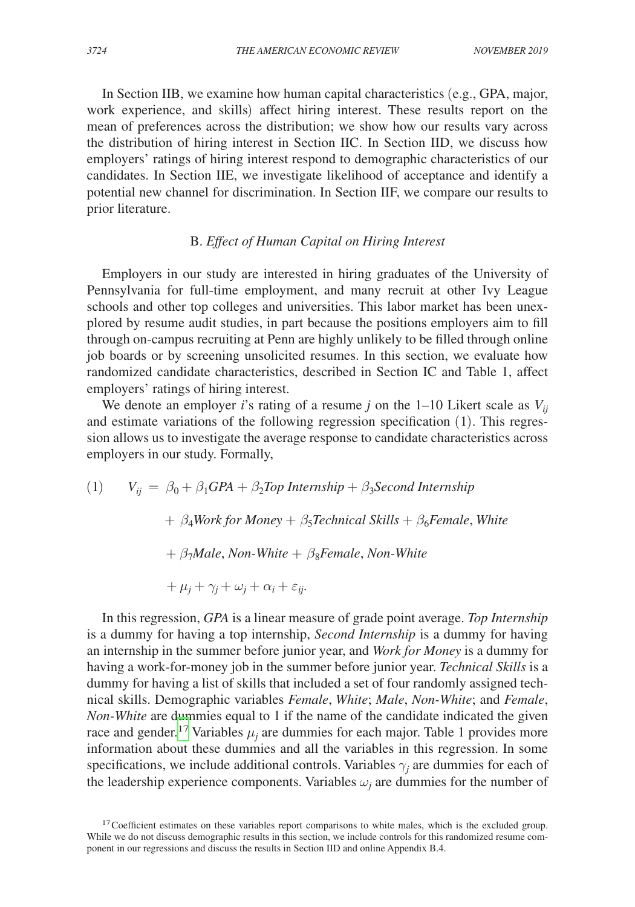In Section IIB, we examine how human capital characteristics (e.g., GPA, major, work experience, and skills) affect hiring interest. These results report on the mean of preferences across the distribution; we show how our results vary across the distribution of hiring interest in Section IIC. In Section IID, we discuss how employers' ratings of hiring interest respond to demographic characteristics of our candidates. In Section IIE, we investigate likelihood of acceptance and identify a potential new channel for discrimination. In Section IIF, we compare our results to prior literature.

## B. *Effect of Human Capital on Hiring Interest*

Employers in our study are interested in hiring graduates of the University of Pennsylvania for full-time employment, and many recruit at other Ivy League schools and other top colleges and universities. This labor market has been unexplored by resume audit studies, in part because the positions employers aim to fill through on-campus recruiting at Penn are highly unlikely to be filled through online job boards or by screening unsolicited resumes. In this section, we evaluate how randomized candidate characteristics, described in Section IC and Table 1, affect employers' ratings of hiring interest.

We denote an employer *i*'s rating of a resume *j* on the 1–10 Likert scale as  $V_{ii}$ and estimate variations of the following regression specification (1). This regression allows us to investigate the average response to candidate characteristics across employers in our study. Formally,

(1) 
$$
V_{ij} = \beta_0 + \beta_1 GPA + \beta_2 Top\ Internship + \beta_3 Second\ Internship
$$
  
+  $\beta_4 Work for Money + \beta_5 Technical Skills + \beta_6 Female, White$   
+  $\beta_7 Male$ , *Non-White +  $\beta_8 Female$ , *Non-White*  
+  $\mu_j + \gamma_j + \omega_j + \alpha_i + \varepsilon_{ij}$ .*

In this regression, *GPA* is a linear measure of grade point average. *Top Internship* is a dummy for having a top internship, *Second Internship* is a dummy for having an internship in the summer before junior year, and *Work for Money* is a dummy for having a work-for-money job in the summer before junior year. *Technical Skills* is a dummy for having a list of skills that included a set of four randomly assigned technical skills. Demographic variables *Female*, *White*; *Male*, *Non-White*; and *Female*, *Non-White* are dummies equal to 1 if the name of the candidate indicated the given race and gender.<sup>17</sup> Variables  $\mu_j$  are dummies for each major. Table 1 provides more information about these dummies and all the variables in this regression. In some specifications, we include additional controls. Variables  $\gamma_j$  are dummies for each of the leadership experience components. Variables  $\omega_j$  are dummies for the number of

<span id="page-11-0"></span> $17$ Coefficient estimates on these variables report comparisons to white males, which is the excluded group. While we do not discuss demographic results in this section, we include controls for this randomized resume component in our regressions and discuss the results in Section IID and online Appendix B.4.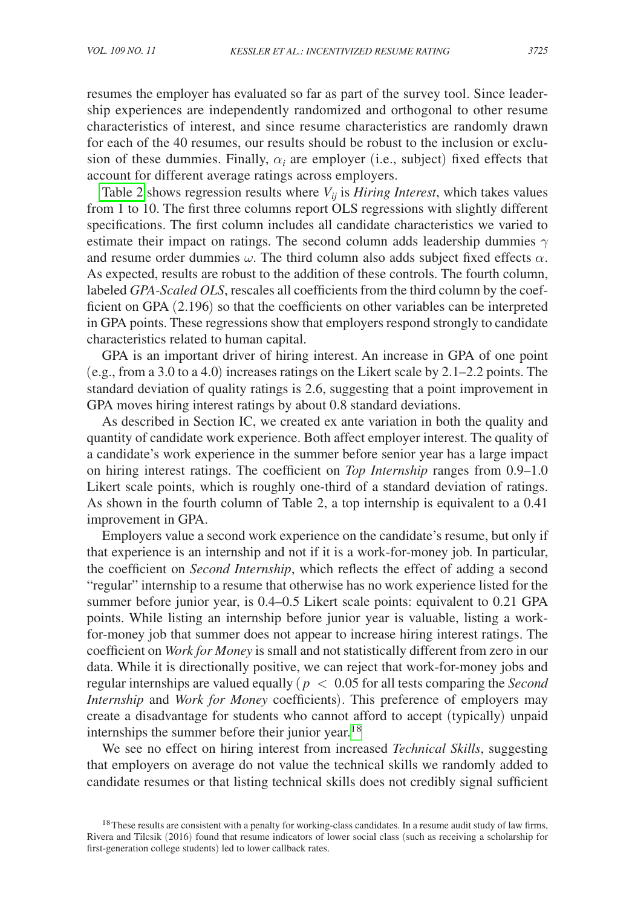resumes the employer has evaluated so far as part of the survey tool. Since leadership experiences are independently randomized and orthogonal to other resume characteristics of interest, and since resume characteristics are randomly drawn for each of the 40 resumes, our results should be robust to the inclusion or exclusion of these dummies. Finally,  $\alpha_i$  are employer (i.e., subject) fixed effects that account for different average ratings across employers.

[Table 2](#page-13-0) shows regression results where  $V_{ij}$  is *Hiring Interest*, which takes values from 1 to 10. The first three columns report OLS regressions with slightly different specifications. The first column includes all candidate characteristics we varied to estimate their impact on ratings. The second column adds leadership dummies  $\gamma$ and resume order dummies  $\omega$ . The third column also adds subject fixed effects  $\alpha$ . As expected, results are robust to the addition of these controls. The fourth column, labeled *GPA-Scaled OLS*, rescales all coefficients from the third column by the coefficient on GPA (2.196) so that the coefficients on other variables can be interpreted in GPA points. These regressions show that employers respond strongly to candidate characteristics related to human capital.

GPA is an important driver of hiring interest. An increase in GPA of one point (e.g., from a 3.0 to a 4.0) increases ratings on the Likert scale by 2.1–2.2 points. The standard deviation of quality ratings is 2.6, suggesting that a point improvement in GPA moves hiring interest ratings by about 0.8 standard deviations.

As described in Section IC, we created ex ante variation in both the quality and quantity of candidate work experience. Both affect employer interest. The quality of a candidate's work experience in the summer before senior year has a large impact on hiring interest ratings. The coefficient on *Top Internship* ranges from 0.9–1.0 Likert scale points, which is roughly one-third of a standard deviation of ratings. As shown in the fourth column of Table 2, a top internship is equivalent to a 0.41 improvement in GPA.

Employers value a second work experience on the candidate's resume, but only if that experience is an internship and not if it is a work-for-money job. In particular, the coefficient on *Second Internship*, which reflects the effect of adding a second "regular" internship to a resume that otherwise has no work experience listed for the summer before junior year, is 0.4–0.5 Likert scale points: equivalent to 0.21 GPA points. While listing an internship before junior year is valuable, listing a workfor-money job that summer does not appear to increase hiring interest ratings. The coefficient on *Work for Money* is small and not statistically different from zero in our data. While it is directionally positive, we can reject that work-for-money jobs and regular internships are valued equally ( *p* < 0.05 for all tests comparing the *Second Internship* and *Work for Money* coefficients). This preference of employers may create a disadvantage for students who cannot afford to accept (typically) unpaid internships the summer before their junior year.<sup>[18](#page-12-0)</sup>

We see no effect on hiring interest from increased *Technical Skills*, suggesting that employers on average do not value the technical skills we randomly added to candidate resumes or that listing technical skills does not credibly signal sufficient

<span id="page-12-0"></span><sup>&</sup>lt;sup>18</sup>These results are consistent with a penalty for working-class candidates. In a resume audit study of law firms, Rivera and Tilcsik (2016) found that resume indicators of lower social class (such as receiving a scholarship for first-generation college students) led to lower callback rates.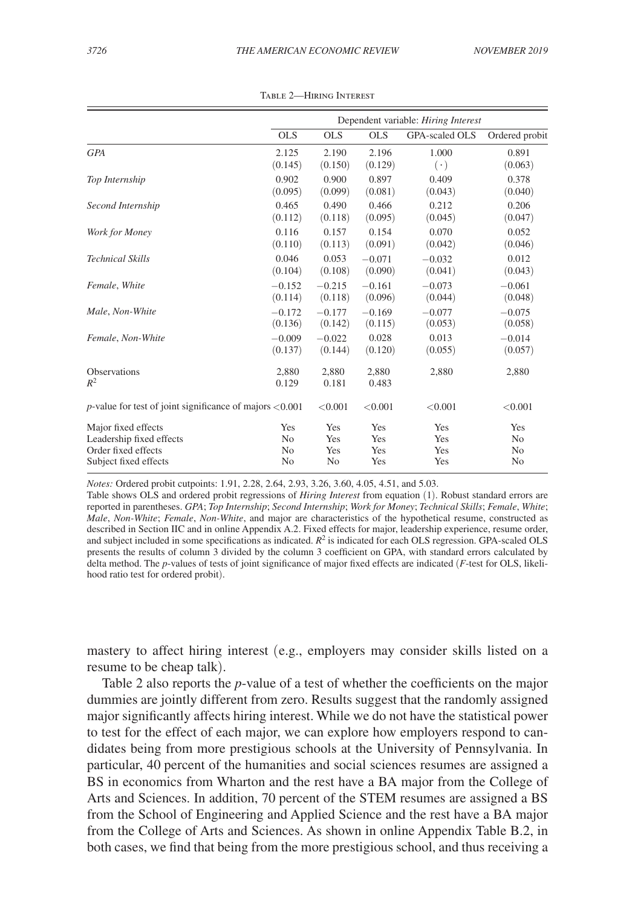<span id="page-13-0"></span>

|                                                                                  | Dependent variable: Hiring Interest |                |                |                       |                |  |
|----------------------------------------------------------------------------------|-------------------------------------|----------------|----------------|-----------------------|----------------|--|
|                                                                                  | <b>OLS</b>                          | <b>OLS</b>     | <b>OLS</b>     | <b>GPA-scaled OLS</b> | Ordered probit |  |
| <b>GPA</b>                                                                       | 2.125                               | 2.190          | 2.196          | 1.000                 | 0.891          |  |
|                                                                                  | (0.145)                             | (0.150)        | (0.129)        | $(\cdot)$             | (0.063)        |  |
| Top Internship                                                                   | 0.902                               | 0.900          | 0.897          | 0.409                 | 0.378          |  |
|                                                                                  | (0.095)                             | (0.099)        | (0.081)        | (0.043)               | (0.040)        |  |
| Second Internship                                                                | 0.465                               | 0.490          | 0.466          | 0.212                 | 0.206          |  |
|                                                                                  | (0.112)                             | (0.118)        | (0.095)        | (0.045)               | (0.047)        |  |
| Work for Money                                                                   | 0.116                               | 0.157          | 0.154          | 0.070                 | 0.052          |  |
|                                                                                  | (0.110)                             | (0.113)        | (0.091)        | (0.042)               | (0.046)        |  |
| <b>Technical Skills</b>                                                          | 0.046                               | 0.053          | $-0.071$       | $-0.032$              | 0.012          |  |
|                                                                                  | (0.104)                             | (0.108)        | (0.090)        | (0.041)               | (0.043)        |  |
| Female, White                                                                    | $-0.152$                            | $-0.215$       | $-0.161$       | $-0.073$              | $-0.061$       |  |
|                                                                                  | (0.114)                             | (0.118)        | (0.096)        | (0.044)               | (0.048)        |  |
| Male, Non-White                                                                  | $-0.172$                            | $-0.177$       | $-0.169$       | $-0.077$              | $-0.075$       |  |
|                                                                                  | (0.136)                             | (0.142)        | (0.115)        | (0.053)               | (0.058)        |  |
| Female, Non-White                                                                | $-0.009$                            | $-0.022$       | 0.028          | 0.013                 | $-0.014$       |  |
|                                                                                  | (0.137)                             | (0.144)        | (0.120)        | (0.055)               | (0.057)        |  |
| Observations<br>$R^2$                                                            | 2,880<br>0.129                      | 2.880<br>0.181 | 2,880<br>0.483 | 2,880                 | 2,880          |  |
| <i>p</i> -value for test of joint significance of majors $\langle 0.001 \rangle$ |                                     | < 0.001        | < 0.001        | < 0.001               | < 0.001        |  |
| Major fixed effects                                                              | Yes                                 | Yes            | Yes            | Yes                   | Yes            |  |
| Leadership fixed effects                                                         | N <sub>0</sub>                      | Yes            | Yes            | Yes                   | N <sub>0</sub> |  |
| Order fixed effects                                                              | N <sub>0</sub>                      | Yes            | Yes            | Yes                   | No             |  |
| Subject fixed effects                                                            | N <sub>0</sub>                      | N <sub>0</sub> | Yes            | Yes                   | N <sub>o</sub> |  |

Table 2—Hiring Interest

*Notes:* Ordered probit cutpoints: 1.91, 2.28, 2.64, 2.93, 3.26, 3.60, 4.05, 4.51, and 5.03.

Table shows OLS and ordered probit regressions of *Hiring Interest* from equation (1). Robust standard errors are reported in parentheses. *GPA*; *Top Internship*; *Second Internship*; *Work for Money*; *Technical Skills*; *Female*, *White*; *Male*, *Non-White*; *Female*, *Non-White*, and major are characteristics of the hypothetical resume, constructed as described in Section IIC and in online Appendix A.2. Fixed effects for major, leadership experience, resume order, and subject included in some specifications as indicated.  $R^2$  is indicated for each OLS regression. GPA-scaled OLS presents the results of column 3 divided by the column 3 coefficient on GPA, with standard errors calculated by delta method. The *p*-values of tests of joint significance of major fixed effects are indicated (*F*-test for OLS, likelihood ratio test for ordered probit).

mastery to affect hiring interest (e.g., employers may consider skills listed on a resume to be cheap talk).

Table 2 also reports the *p*-value of a test of whether the coefficients on the major dummies are jointly different from zero. Results suggest that the randomly assigned major significantly affects hiring interest. While we do not have the statistical power to test for the effect of each major, we can explore how employers respond to candidates being from more prestigious schools at the University of Pennsylvania. In particular, 40 percent of the humanities and social sciences resumes are assigned a BS in economics from Wharton and the rest have a BA major from the College of Arts and Sciences. In addition, 70 percent of the STEM resumes are assigned a BS from the School of Engineering and Applied Science and the rest have a BA major from the College of Arts and Sciences. As shown in online Appendix Table B.2, in both cases, we find that being from the more prestigious school, and thus receiving a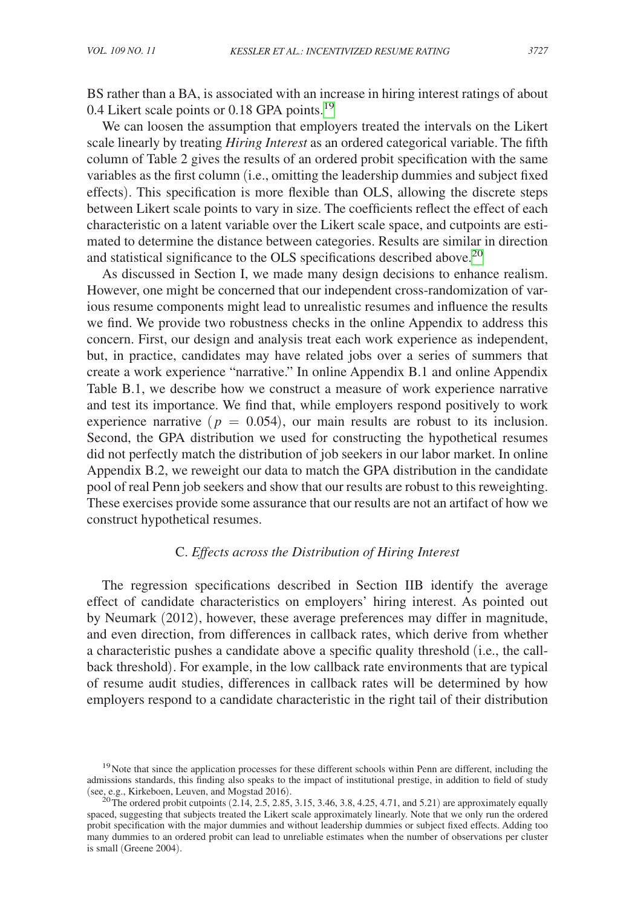BS rather than a BA, is associated with an increase in hiring interest ratings of about 0.4 Likert scale points or 0.18 GPA points.<sup>[19](#page-14-0)</sup>

We can loosen the assumption that employers treated the intervals on the Likert scale linearly by treating *Hiring Interest* as an ordered categorical variable. The fifth column of Table 2 gives the results of an ordered probit specification with the same variables as the first column (i.e., omitting the leadership dummies and subject fixed effects). This specification is more flexible than OLS, allowing the discrete steps between Likert scale points to vary in size. The coefficients reflect the effect of each characteristic on a latent variable over the Likert scale space, and cutpoints are estimated to determine the distance between categories. Results are similar in direction and statistical significance to the OLS specifications described above.<sup>20</sup>

As discussed in Section I, we made many design decisions to enhance realism. However, one might be concerned that our independent cross-randomization of various resume components might lead to unrealistic resumes and influence the results we find. We provide two robustness checks in the online Appendix to address this concern. First, our design and analysis treat each work experience as independent, but, in practice, candidates may have related jobs over a series of summers that create a work experience "narrative." In online Appendix B.1 and online Appendix Table B.1, we describe how we construct a measure of work experience narrative and test its importance. We find that, while employers respond positively to work experience narrative  $(p = 0.054)$ , our main results are robust to its inclusion. Second, the GPA distribution we used for constructing the hypothetical resumes did not perfectly match the distribution of job seekers in our labor market. In online Appendix B.2, we reweight our data to match the GPA distribution in the candidate pool of real Penn job seekers and show that our results are robust to this reweighting. These exercises provide some assurance that our results are not an artifact of how we construct hypothetical resumes.

# C. *Effects across the Distribution of Hiring Interest*

The regression specifications described in Section IIB identify the average effect of candidate characteristics on employers' hiring interest. As pointed out by Neumark (2012), however, these average preferences may differ in magnitude, and even direction, from differences in callback rates, which derive from whether a characteristic pushes a candidate above a specific quality threshold (i.e., the callback threshold). For example, in the low callback rate environments that are typical of resume audit studies, differences in callback rates will be determined by how employers respond to a candidate characteristic in the right tail of their distribution

<span id="page-14-0"></span><sup>&</sup>lt;sup>19</sup>Note that since the application processes for these different schools within Penn are different, including the admissions standards, this finding also speaks to the impact of institutional prestige, in addition to field of study

<span id="page-14-1"></span><sup>(</sup>see, e.g., Kirkeboen, Leuven, and Mogstad 2016).<br><sup>20</sup>The ordered probit cutpoints (2.14, 2.5, 2.85, 3.15, 3.46, 3.8, 4.25, 4.71, and 5.21) are approximately equally spaced, suggesting that subjects treated the Likert scale approximately linearly. Note that we only run the ordered probit specification with the major dummies and without leadership dummies or subject fixed effects. Adding too many dummies to an ordered probit can lead to unreliable estimates when the number of observations per cluster is small (Greene 2004).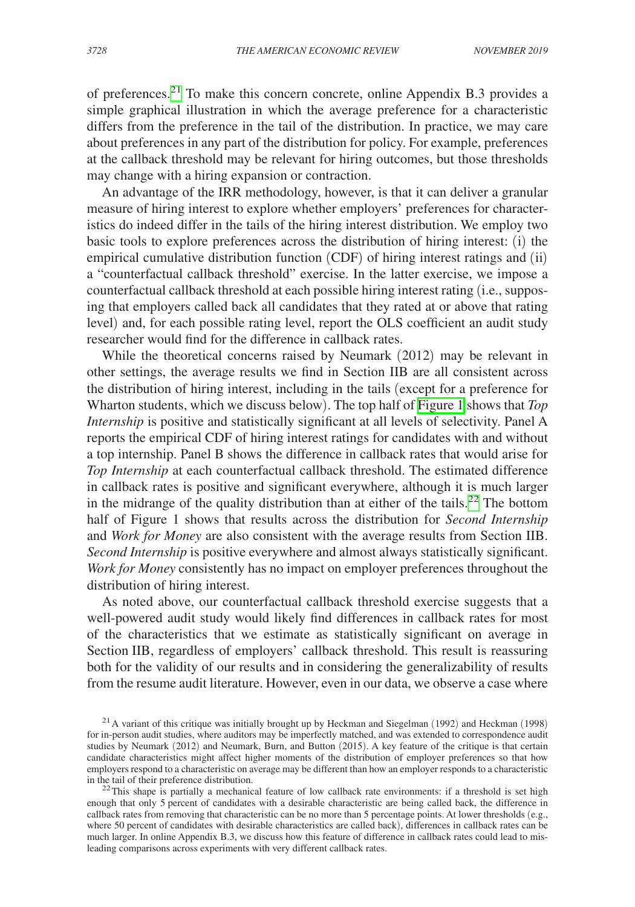of preferences[.21](#page-15-0) To make this concern concrete, online Appendix B.3 provides a simple graphical illustration in which the average preference for a characteristic differs from the preference in the tail of the distribution. In practice, we may care about preferences in any part of the distribution for policy. For example, preferences at the callback threshold may be relevant for hiring outcomes, but those thresholds may change with a hiring expansion or contraction.

An advantage of the IRR methodology, however, is that it can deliver a granular measure of hiring interest to explore whether employers' preferences for characteristics do indeed differ in the tails of the hiring interest distribution. We employ two basic tools to explore preferences across the distribution of hiring interest: (i) the empirical cumulative distribution function (CDF) of hiring interest ratings and (ii) a "counterfactual callback threshold" exercise. In the latter exercise, we impose a counterfactual callback threshold at each possible hiring interest rating (i.e., supposing that employers called back all candidates that they rated at or above that rating level) and, for each possible rating level, report the OLS coefficient an audit study researcher would find for the difference in callback rates.

While the theoretical concerns raised by Neumark (2012) may be relevant in other settings, the average results we find in Section IIB are all consistent across the distribution of hiring interest, including in the tails (except for a preference for Wharton students, which we discuss below). The top half of [Figure 1](#page-16-0) shows that *Top Internship* is positive and statistically significant at all levels of selectivity. Panel A reports the empirical CDF of hiring interest ratings for candidates with and without a top internship. Panel B shows the difference in callback rates that would arise for *Top Internship* at each counterfactual callback threshold. The estimated difference in callback rates is positive and significant everywhere, although it is much larger in the midrange of the quality distribution than at either of the tails.<sup>[22](#page-15-1)</sup> The bottom half of Figure 1 shows that results across the distribution for *Second Internship* and *Work for Money* are also consistent with the average results from Section IIB. *Second Internship* is positive everywhere and almost always statistically significant. *Work for Money* consistently has no impact on employer preferences throughout the distribution of hiring interest.

As noted above, our counterfactual callback threshold exercise suggests that a well-powered audit study would likely find differences in callback rates for most of the characteristics that we estimate as statistically significant on average in Section IIB, regardless of employers' callback threshold. This result is reassuring both for the validity of our results and in considering the generalizability of results from the resume audit literature. However, even in our data, we observe a case where

<span id="page-15-0"></span> $21$  A variant of this critique was initially brought up by Heckman and Siegelman (1992) and Heckman (1998) for in-person audit studies, where auditors may be imperfectly matched, and was extended to correspondence audit studies by Neumark (2012) and Neumark, Burn, and Button (2015). A key feature of the critique is that certain candidate characteristics might affect higher moments of the distribution of employer preferences so that how employers respond to a characteristic on average may be different than how an employer responds to a characteristic

<span id="page-15-1"></span> $^{22}$ This shape is partially a mechanical feature of low callback rate environments: if a threshold is set high enough that only 5 percent of candidates with a desirable characteristic are being called back, the difference in callback rates from removing that characteristic can be no more than 5 percentage points. At lower thresholds (e.g., where 50 percent of candidates with desirable characteristics are called back), differences in callback rates can be much larger. In online Appendix B.3, we discuss how this feature of difference in callback rates could lead to misleading comparisons across experiments with very different callback rates.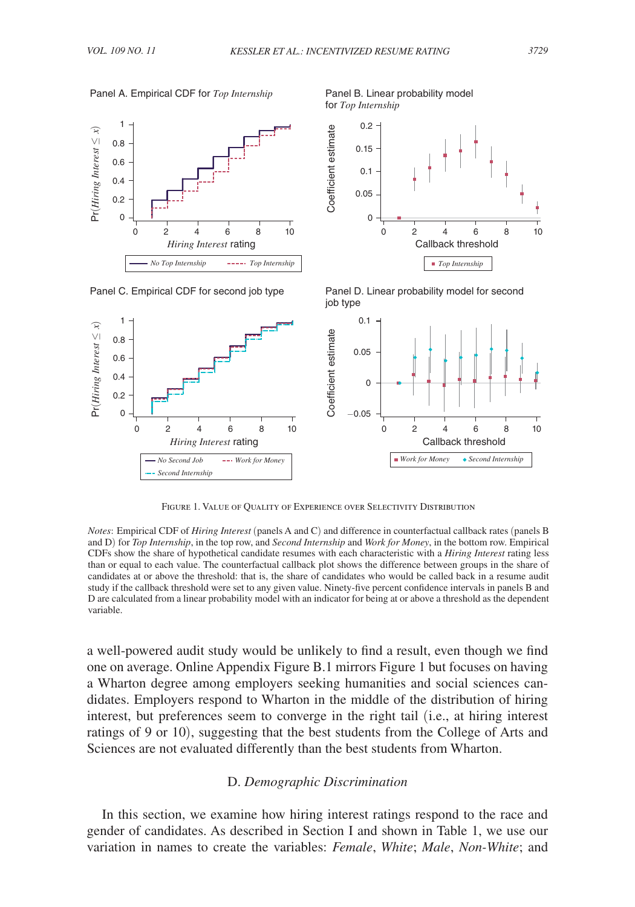for *Top Internship*

<span id="page-16-0"></span>Panel A. Empirical CDF for *Top Internship* Panel B. Linear probability model





Panel C. Empirical CDF for second job type Panel D. Linear probability model for second job type



Figure 1. Value of Quality of Experience over Selectivity Distribution

*Notes*: Empirical CDF of *Hiring Interest* (panels A and C) and difference in counterfactual callback rates (panels B and D) for *Top Internship*, in the top row, and *Second Internship* and *Work for Money*, in the bottom row. Empirical CDFs show the share of hypothetical candidate resumes with each characteristic with a *Hiring Interest* rating less than or equal to each value. The counterfactual callback plot shows the difference between groups in the share of candidates at or above the threshold: that is, the share of candidates who would be called back in a resume audit study if the callback threshold were set to any given value. Ninety-five percent confidence intervals in panels B and D are calculated from a linear probability model with an indicator for being at or above a threshold as the dependent variable.

a well-powered audit study would be unlikely to find a result, even though we find one on average. Online Appendix Figure B.1 mirrors Figure 1 but focuses on having a Wharton degree among employers seeking humanities and social sciences candidates. Employers respond to Wharton in the middle of the distribution of hiring interest, but preferences seem to converge in the right tail (i.e., at hiring interest ratings of 9 or 10), suggesting that the best students from the College of Arts and Sciences are not evaluated differently than the best students from Wharton.

#### D. *Demographic Discrimination*

In this section, we examine how hiring interest ratings respond to the race and gender of candidates. As described in Section I and shown in Table 1, we use our variation in names to create the variables: *Female*, *White*; *Male*, *Non-White*; and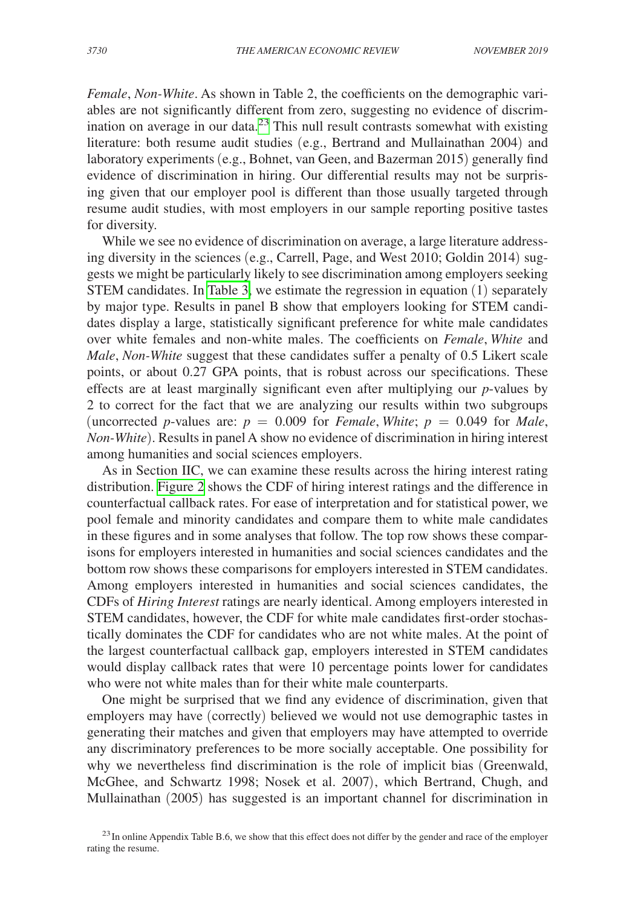*Female*, *Non-White*. As shown in Table 2, the coefficients on the demographic variables are not significantly different from zero, suggesting no evidence of discrimination on average in our data.[23](#page-17-0) This null result contrasts somewhat with existing literature: both resume audit studies (e.g., Bertrand and Mullainathan 2004) and laboratory experiments (e.g., Bohnet, van Geen, and Bazerman 2015) generally find evidence of discrimination in hiring. Our differential results may not be surprising given that our employer pool is different than those usually targeted through resume audit studies, with most employers in our sample reporting positive tastes for diversity.

While we see no evidence of discrimination on average, a large literature addressing diversity in the sciences (e.g., Carrell, Page, and West 2010; Goldin 2014) suggests we might be particularly likely to see discrimination among employers seeking STEM candidates. In [Table 3,](#page-18-0) we estimate the regression in equation (1) separately by major type. Results in panel B show that employers looking for STEM candidates display a large, statistically significant preference for white male candidates over white females and non-white males. The coefficients on *Female*, *White* and *Male*, *Non-White* suggest that these candidates suffer a penalty of 0.5 Likert scale points, or about 0.27 GPA points, that is robust across our specifications. These effects are at least marginally significant even after multiplying our *p*-values by 2 to correct for the fact that we are analyzing our results within two subgroups (uncorrected *p*-values are:  $p = 0.009$  for *Female*, *White*;  $p = 0.049$  for *Male*, *Non-White*). Results in panel A show no evidence of discrimination in hiring interest among humanities and social sciences employers.

As in Section IIC, we can examine these results across the hiring interest rating distribution. [Figure 2](#page-19-0) shows the CDF of hiring interest ratings and the difference in counterfactual callback rates. For ease of interpretation and for statistical power, we pool female and minority candidates and compare them to white male candidates in these figures and in some analyses that follow. The top row shows these comparisons for employers interested in humanities and social sciences candidates and the bottom row shows these comparisons for employers interested in STEM candidates. Among employers interested in humanities and social sciences candidates, the CDFs of *Hiring Interest* ratings are nearly identical. Among employers interested in STEM candidates, however, the CDF for white male candidates first-order stochastically dominates the CDF for candidates who are not white males. At the point of the largest counterfactual callback gap, employers interested in STEM candidates would display callback rates that were 10 percentage points lower for candidates who were not white males than for their white male counterparts.

One might be surprised that we find any evidence of discrimination, given that employers may have (correctly) believed we would not use demographic tastes in generating their matches and given that employers may have attempted to override any discriminatory preferences to be more socially acceptable. One possibility for why we nevertheless find discrimination is the role of implicit bias (Greenwald, McGhee, and Schwartz 1998; Nosek et al. 2007), which Bertrand, Chugh, and Mullainathan (2005) has suggested is an important channel for discrimination in

<span id="page-17-0"></span><sup>&</sup>lt;sup>23</sup>In online Appendix Table B.6, we show that this effect does not differ by the gender and race of the employer rating the resume.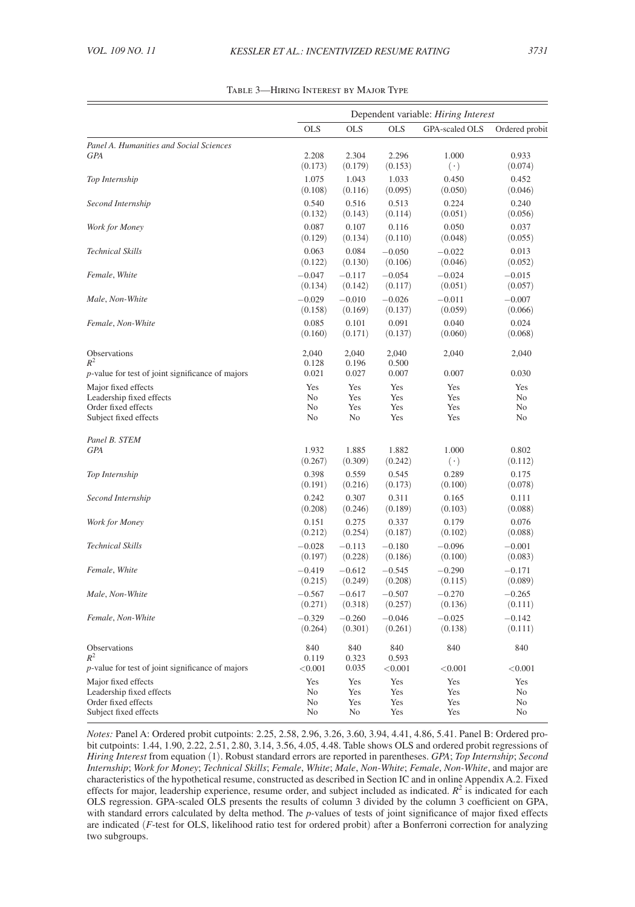<span id="page-18-0"></span>

|                                                     | Dependent variable: Hiring Interest |                  |                     |                  |                      |
|-----------------------------------------------------|-------------------------------------|------------------|---------------------|------------------|----------------------|
|                                                     | <b>OLS</b>                          | <b>OLS</b>       | <b>OLS</b>          | GPA-scaled OLS   | Ordered probit       |
| Panel A. Humanities and Social Sciences             |                                     |                  |                     |                  |                      |
| <b>GPA</b>                                          | 2.208                               | 2.304            | 2.296               | 1.000            | 0.933                |
|                                                     | (0.173)                             | (0.179)          | (0.153)             | $(\cdot)$        | (0.074)              |
| Top Internship                                      | 1.075                               | 1.043            | 1.033               | 0.450            | 0.452                |
|                                                     | (0.108)                             | (0.116)          | (0.095)             | (0.050)          | (0.046)              |
| Second Internship                                   | 0.540                               | 0.516            | 0.513               | 0.224            | 0.240                |
|                                                     | (0.132)                             | (0.143)          | (0.114)             | (0.051)          | (0.056)              |
| Work for Money                                      | 0.087<br>(0.129)                    | 0.107<br>(0.134) | 0.116<br>(0.110)    | 0.050<br>(0.048) | 0.037<br>(0.055)     |
| <b>Technical Skills</b>                             | 0.063                               | 0.084            |                     | $-0.022$         | 0.013                |
|                                                     | (0.122)                             | (0.130)          | $-0.050$<br>(0.106) | (0.046)          | (0.052)              |
| Female, White                                       | $-0.047$                            | $-0.117$         | $-0.054$            | $-0.024$         | $-0.015$             |
|                                                     | (0.134)                             | (0.142)          | (0.117)             | (0.051)          | (0.057)              |
| Male, Non-White                                     | $-0.029$                            | $-0.010$         | $-0.026$            | $-0.011$         | $-0.007$             |
|                                                     | (0.158)                             | (0.169)          | (0.137)             | (0.059)          | (0.066)              |
| Female, Non-White                                   | 0.085                               | 0.101            | 0.091               | 0.040            | 0.024                |
|                                                     | (0.160)                             | (0.171)          | (0.137)             | (0.060)          | (0.068)              |
|                                                     |                                     |                  |                     |                  |                      |
| Observations<br>$R^2$                               | 2,040                               | 2,040            | 2,040               | 2,040            | 2,040                |
| $p$ -value for test of joint significance of majors | 0.128<br>0.021                      | 0.196<br>0.027   | 0.500<br>0.007      | 0.007            | 0.030                |
|                                                     | Yes                                 | Yes              | Yes                 | Yes              | Yes                  |
| Major fixed effects<br>Leadership fixed effects     | No                                  | Yes              | Yes                 | Yes              | N <sub>o</sub>       |
| Order fixed effects                                 | No                                  | Yes              | Yes                 | Yes              | No                   |
| Subject fixed effects                               | No                                  | No               | Yes                 | Yes              | No                   |
| Panel B. STEM                                       |                                     |                  |                     |                  |                      |
| <b>GPA</b>                                          | 1.932                               | 1.885            | 1.882               | 1.000            | 0.802                |
|                                                     | (0.267)                             | (0.309)          | (0.242)             | $(\cdot)$        | (0.112)              |
| Top Internship                                      | 0.398                               | 0.559            | 0.545               | 0.289            | 0.175                |
|                                                     | (0.191)                             | (0.216)          | (0.173)             | (0.100)          | (0.078)              |
| Second Internship                                   | 0.242                               | 0.307            | 0.311               | 0.165            | 0.111                |
|                                                     | (0.208)                             | (0.246)          | (0.189)             | (0.103)          | (0.088)              |
| Work for Money                                      | 0.151                               | 0.275            | 0.337               | 0.179            | 0.076                |
|                                                     | (0.212)                             | (0.254)          | (0.187)             | (0.102)          | (0.088)              |
| Technical Skills                                    | $-0.028$                            | $-0.113$         | $-0.180$            | $-0.096$         | $-0.001$             |
|                                                     | (0.197)                             | (0.228)          | (0.186)             | (0.100)          | (0.083)              |
| Female, White                                       | $-0.419$                            | $-0.612$         | $-0.545$            | $-0.290$         | $-0.171$             |
|                                                     | (0.215)                             | (0.249)          | (0.208)             | (0.115)          | (0.089)              |
| Male, Non-White                                     | $-0.567$                            | $-0.617$         | $-0.507$            | $-0.270$         | $-0.265$             |
|                                                     | (0.271)                             | (0.318)          | (0.257)             | (0.136)          | (0.111)              |
| Female, Non-White                                   | $-0.329$                            | $-0.260$         | $-0.046$            | $-0.025$         | $-0.142$             |
|                                                     | (0.264)                             | (0.301)          | (0.261)             | (0.138)          | (0.111)              |
| Observations                                        | 840                                 | 840              | 840                 | 840              | 840                  |
| $R^2$                                               | 0.119                               | 0.323            | 0.593               |                  |                      |
| p-value for test of joint significance of majors    | < 0.001                             | 0.035            | < 0.001             | < 0.001          | < 0.001              |
| Major fixed effects                                 | Yes                                 | Yes              | Yes                 | Yes              | Yes                  |
| Leadership fixed effects                            | No                                  | Yes              | Yes                 | Yes              | No                   |
| Order fixed effects<br>Subject fixed effects        | N <sub>o</sub><br>No                | Yes<br>No        | Yes<br>Yes          | Yes<br>Yes       | N <sub>o</sub><br>No |
|                                                     |                                     |                  |                     |                  |                      |

Table 3—Hiring Interest by Major Type

*Notes:* Panel A: Ordered probit cutpoints: 2.25, 2.58, 2.96, 3.26, 3.60, 3.94, 4.41, 4.86, 5.41. Panel B: Ordered probit cutpoints: 1.44, 1.90, 2.22, 2.51, 2.80, 3.14, 3.56, 4.05, 4.48. Table shows OLS and ordered probit regressions of *Hiring Interest* from equation (1). Robust standard errors are reported in parentheses. *GPA*; *Top Internship*; *Second Internship*; *Work for Money*; *Technical Skills*; *Female*, *White*; *Male*, *Non-White*; *Female*, *Non-White*, and major are characteristics of the hypothetical resume, constructed as described in Section IC and in online Appendix A.2. Fixed effects for major, leadership experience, resume order, and subject included as indicated.  $R<sup>2</sup>$  is indicated for each OLS regression. GPA-scaled OLS presents the results of column 3 divided by the column 3 coefficient on GPA, with standard errors calculated by delta method. The *p*-values of tests of joint significance of major fixed effects are indicated (*F*-test for OLS, likelihood ratio test for ordered probit) after a Bonferroni correction for analyzing two subgroups.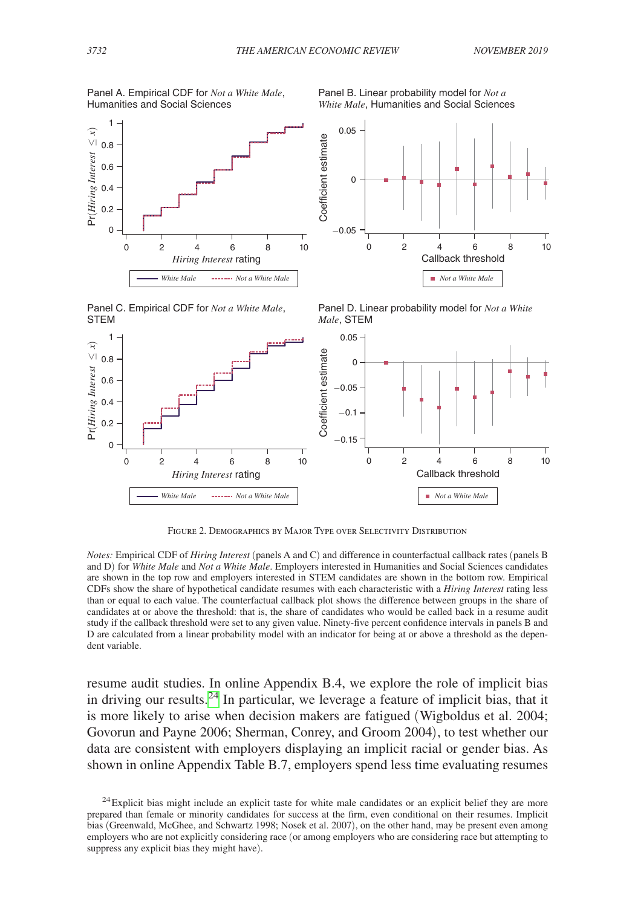−0.05

 $\overline{0}$ 

Coefficient estimate

0.05

<span id="page-19-0"></span>



Panel C. Empirical CDF for *Not a White Male*, STEM



0 2 4 6 8 10 Callback threshold *Not a White Male*

Panel B. Linear probability model for *Not a White Male*, Humanities and Social Sciences



Figure 2. Demographics by Major Type over Selectivity Distribution

*Notes:* Empirical CDF of *Hiring Interest* (panels A and C) and difference in counterfactual callback rates (panels B and D) for *White Male* and *Not a White Male*. Employers interested in Humanities and Social Sciences candidates are shown in the top row and employers interested in STEM candidates are shown in the bottom row. Empirical CDFs show the share of hypothetical candidate resumes with each characteristic with a *Hiring Interest* rating less than or equal to each value. The counterfactual callback plot shows the difference between groups in the share of candidates at or above the threshold: that is, the share of candidates who would be called back in a resume audit study if the callback threshold were set to any given value. Ninety-five percent confidence intervals in panels B and D are calculated from a linear probability model with an indicator for being at or above a threshold as the dependent variable.

resume audit studies. In online Appendix B.4, we explore the role of implicit bias in driving our results.<sup>24</sup> In particular, we leverage a feature of implicit bias, that it is more likely to arise when decision makers are fatigued (Wigboldus et al. 2004; Govorun and Payne 2006; Sherman, Conrey, and Groom 2004), to test whether our data are consistent with employers displaying an implicit racial or gender bias. As shown in online Appendix Table B.7, employers spend less time evaluating resumes

<span id="page-19-1"></span><sup>&</sup>lt;sup>24</sup>Explicit bias might include an explicit taste for white male candidates or an explicit belief they are more prepared than female or minority candidates for success at the firm, even conditional on their resumes. Implicit bias (Greenwald, McGhee, and Schwartz 1998; Nosek et al. 2007), on the other hand, may be present even among employers who are not explicitly considering race (or among employers who are considering race but attempting to suppress any explicit bias they might have).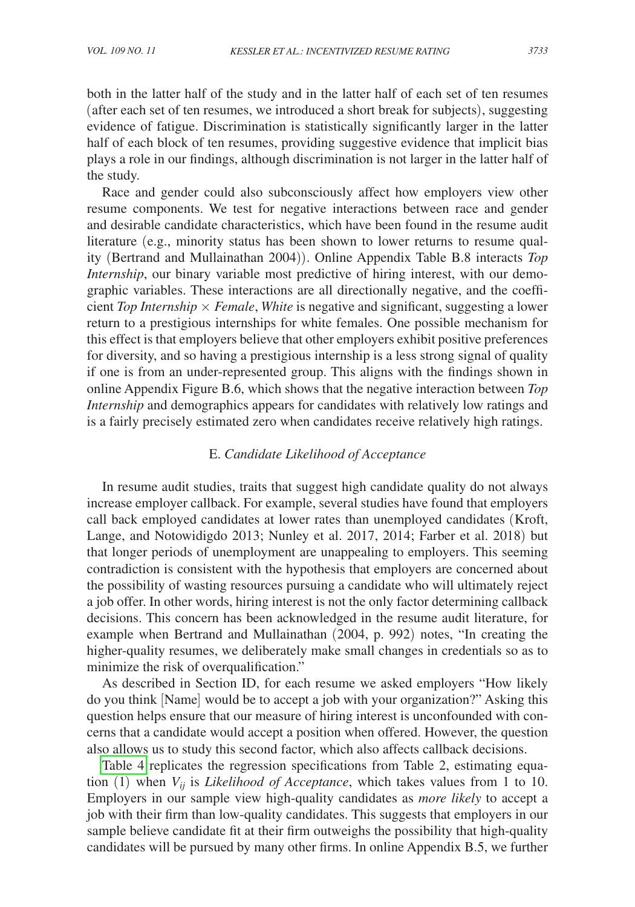both in the latter half of the study and in the latter half of each set of ten resumes (after each set of ten resumes, we introduced a short break for subjects), suggesting evidence of fatigue. Discrimination is statistically significantly larger in the latter half of each block of ten resumes, providing suggestive evidence that implicit bias plays a role in our findings, although discrimination is not larger in the latter half of the study.

Race and gender could also subconsciously affect how employers view other resume components. We test for negative interactions between race and gender and desirable candidate characteristics, which have been found in the resume audit literature (e.g., minority status has been shown to lower returns to resume quality (Bertrand and Mullainathan 2004)). Online Appendix Table B.8 interacts *Top Internship*, our binary variable most predictive of hiring interest, with our demographic variables. These interactions are all directionally negative, and the coefficient *Top Internship* × *Female*, *White* is negative and significant, suggesting a lower return to a prestigious internships for white females. One possible mechanism for this effect is that employers believe that other employers exhibit positive preferences for diversity, and so having a prestigious internship is a less strong signal of quality if one is from an under-represented group. This aligns with the findings shown in online Appendix Figure B.6, which shows that the negative interaction between *Top Internship* and demographics appears for candidates with relatively low ratings and is a fairly precisely estimated zero when candidates receive relatively high ratings.

## E. *Candidate Likelihood of Acceptance*

In resume audit studies, traits that suggest high candidate quality do not always increase employer callback. For example, several studies have found that employers call back employed candidates at lower rates than unemployed candidates (Kroft, Lange, and Notowidigdo 2013; Nunley et al. 2017, 2014; Farber et al. 2018) but that longer periods of unemployment are unappealing to employers. This seeming contradiction is consistent with the hypothesis that employers are concerned about the possibility of wasting resources pursuing a candidate who will ultimately reject a job offer. In other words, hiring interest is not the only factor determining callback decisions. This concern has been acknowledged in the resume audit literature, for example when Bertrand and Mullainathan (2004, p. 992) notes, "In creating the higher-quality resumes, we deliberately make small changes in credentials so as to minimize the risk of overqualification."

As described in Section ID, for each resume we asked employers "How likely do you think [Name] would be to accept a job with your organization?" Asking this question helps ensure that our measure of hiring interest is unconfounded with concerns that a candidate would accept a position when offered. However, the question also allows us to study this second factor, which also affects callback decisions.

[Table 4](#page-21-0) replicates the regression specifications from Table 2, estimating equation (1) when  $V_{ii}$  is *Likelihood of Acceptance*, which takes values from 1 to 10. Employers in our sample view high-quality candidates as *more likely* to accept a job with their firm than low-quality candidates. This suggests that employers in our sample believe candidate fit at their firm outweighs the possibility that high-quality candidates will be pursued by many other firms. In online Appendix B.5, we further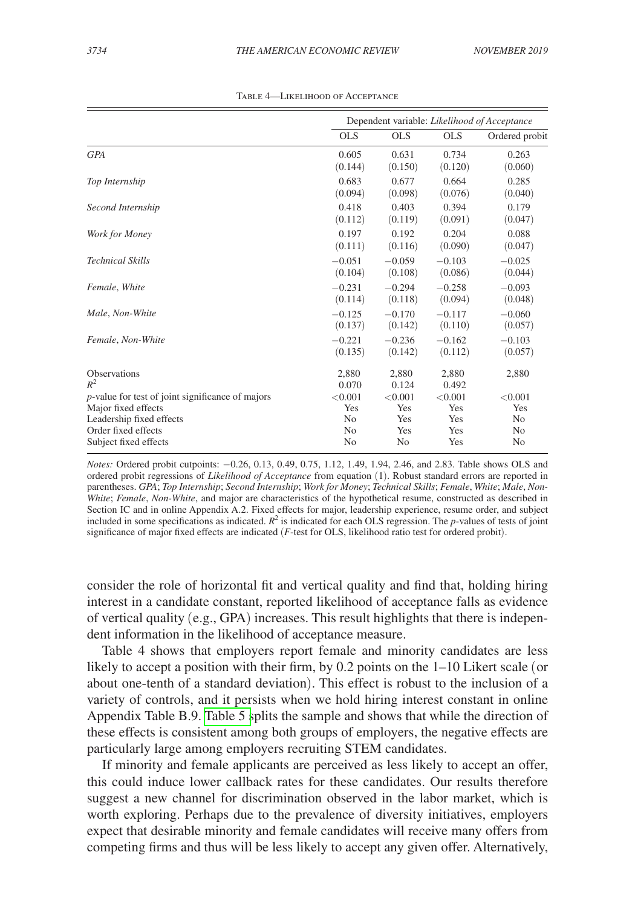<span id="page-21-0"></span>

|                                                     |                | Dependent variable: Likelihood of Acceptance |            |                |  |
|-----------------------------------------------------|----------------|----------------------------------------------|------------|----------------|--|
|                                                     | <b>OLS</b>     | <b>OLS</b>                                   | <b>OLS</b> | Ordered probit |  |
| <b>GPA</b>                                          | 0.605          | 0.631                                        | 0.734      | 0.263          |  |
|                                                     | (0.144)        | (0.150)                                      | (0.120)    | (0.060)        |  |
| Top Internship                                      | 0.683          | 0.677                                        | 0.664      | 0.285          |  |
|                                                     | (0.094)        | (0.098)                                      | (0.076)    | (0.040)        |  |
| Second Internship                                   | 0.418          | 0.403                                        | 0.394      | 0.179          |  |
|                                                     | (0.112)        | (0.119)                                      | (0.091)    | (0.047)        |  |
| Work for Money                                      | 0.197          | 0.192                                        | 0.204      | 0.088          |  |
|                                                     | (0.111)        | (0.116)                                      | (0.090)    | (0.047)        |  |
| <b>Technical Skills</b>                             | $-0.051$       | $-0.059$                                     | $-0.103$   | $-0.025$       |  |
|                                                     | (0.104)        | (0.108)                                      | (0.086)    | (0.044)        |  |
| Female, White                                       | $-0.231$       | $-0.294$                                     | $-0.258$   | $-0.093$       |  |
|                                                     | (0.114)        | (0.118)                                      | (0.094)    | (0.048)        |  |
| Male, Non-White                                     | $-0.125$       | $-0.170$                                     | $-0.117$   | $-0.060$       |  |
|                                                     | (0.137)        | (0.142)                                      | (0.110)    | (0.057)        |  |
| Female, Non-White                                   | $-0.221$       | $-0.236$                                     | $-0.162$   | $-0.103$       |  |
|                                                     | (0.135)        | (0.142)                                      | (0.112)    | (0.057)        |  |
| <b>Observations</b>                                 | 2,880          | 2,880                                        | 2,880      | 2,880          |  |
| $R^2$                                               | 0.070          | 0.124                                        | 0.492      |                |  |
| $p$ -value for test of joint significance of majors | < 0.001        | < 0.001                                      | < 0.001    | < 0.001        |  |
| Major fixed effects                                 | Yes            | Yes                                          | Yes        | Yes            |  |
| Leadership fixed effects                            | N <sub>0</sub> | Yes                                          | Yes        | N <sub>0</sub> |  |
| Order fixed effects                                 | N <sub>0</sub> | Yes                                          | Yes        | N <sub>0</sub> |  |
| Subject fixed effects                               | No             | No                                           | Yes        | No             |  |

Table 4—Likelihood of Acceptance

*Notes:* Ordered probit cutpoints: −0.26, 0.13, 0.49, 0.75, 1.12, 1.49, 1.94, 2.46, and 2.83. Table shows OLS and ordered probit regressions of *Likelihood of Acceptance* from equation (1). Robust standard errors are reported in parentheses. *GPA*; *Top Internship*; *Second Internship*; *Work for Money*; *Technical Skills*; *Female*, *White*; *Male*, *Non-White*; *Female*, *Non-White*, and major are characteristics of the hypothetical resume, constructed as described in Section IC and in online Appendix A.2. Fixed effects for major, leadership experience, resume order, and subject included in some specifications as indicated.  $R^2$  is indicated for each OLS regression. The *p*-values of tests of joint significance of major fixed effects are indicated (*F*-test for OLS, likelihood ratio test for ordered probit).

consider the role of horizontal fit and vertical quality and find that, holding hiring interest in a candidate constant, reported likelihood of acceptance falls as evidence of vertical quality (e.g., GPA) increases. This result highlights that there is independent information in the likelihood of acceptance measure.

Table 4 shows that employers report female and minority candidates are less likely to accept a position with their firm, by 0.2 points on the 1–10 Likert scale (or about one-tenth of a standard deviation). This effect is robust to the inclusion of a variety of controls, and it persists when we hold hiring interest constant in online Appendix Table B.9. [Table 5 s](#page-22-0)plits the sample and shows that while the direction of these effects is consistent among both groups of employers, the negative effects are particularly large among employers recruiting STEM candidates.

If minority and female applicants are perceived as less likely to accept an offer, this could induce lower callback rates for these candidates. Our results therefore suggest a new channel for discrimination observed in the labor market, which is worth exploring. Perhaps due to the prevalence of diversity initiatives, employers expect that desirable minority and female candidates will receive many offers from competing firms and thus will be less likely to accept any given offer. Alternatively,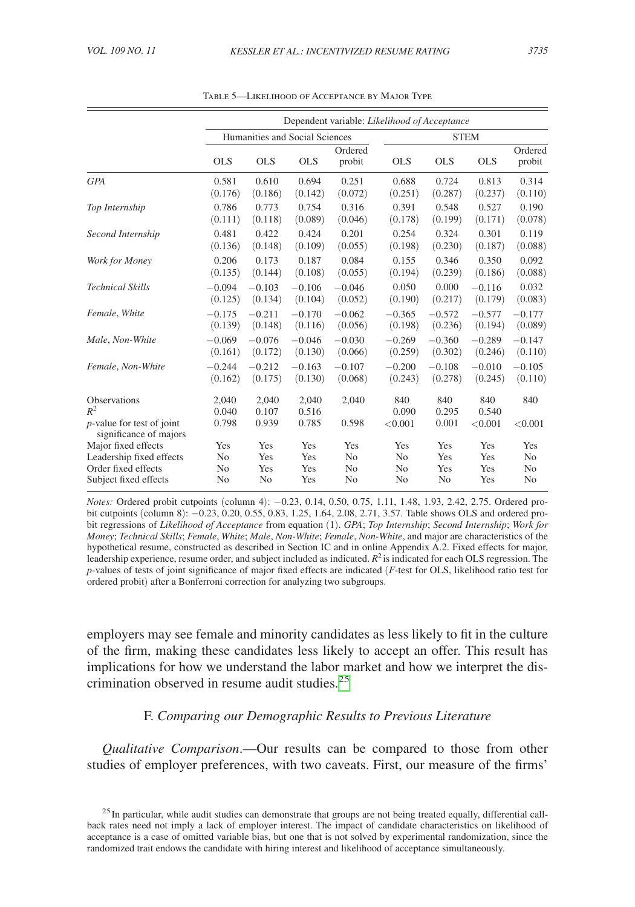<span id="page-22-0"></span>

|                                                             | Dependent variable: Likelihood of Acceptance |                                |                |                   |                |                |              |                   |  |
|-------------------------------------------------------------|----------------------------------------------|--------------------------------|----------------|-------------------|----------------|----------------|--------------|-------------------|--|
|                                                             |                                              | Humanities and Social Sciences |                |                   |                | <b>STEM</b>    |              |                   |  |
|                                                             | <b>OLS</b>                                   | <b>OLS</b>                     | <b>OLS</b>     | Ordered<br>probit | <b>OLS</b>     | <b>OLS</b>     | <b>OLS</b>   | Ordered<br>probit |  |
| <b>GPA</b>                                                  | 0.581                                        | 0.610                          | 0.694          | 0.251             | 0.688          | 0.724          | 0.813        | 0.314             |  |
|                                                             | (0.176)                                      | (0.186)                        | (0.142)        | (0.072)           | (0.251)        | (0.287)        | (0.237)      | (0.110)           |  |
| Top Internship                                              | 0.786                                        | 0.773                          | 0.754          | 0.316             | 0.391          | 0.548          | 0.527        | 0.190             |  |
|                                                             | (0.111)                                      | (0.118)                        | (0.089)        | (0.046)           | (0.178)        | (0.199)        | (0.171)      | (0.078)           |  |
| Second Internship                                           | 0.481                                        | 0.422                          | 0.424          | 0.201             | 0.254          | 0.324          | 0.301        | 0.119             |  |
|                                                             | (0.136)                                      | (0.148)                        | (0.109)        | (0.055)           | (0.198)        | (0.230)        | (0.187)      | (0.088)           |  |
| Work for Money                                              | 0.206                                        | 0.173                          | 0.187          | 0.084             | 0.155          | 0.346          | 0.350        | 0.092             |  |
|                                                             | (0.135)                                      | (0.144)                        | (0.108)        | (0.055)           | (0.194)        | (0.239)        | (0.186)      | (0.088)           |  |
| <b>Technical Skills</b>                                     | $-0.094$                                     | $-0.103$                       | $-0.106$       | $-0.046$          | 0.050          | 0.000          | $-0.116$     | 0.032             |  |
|                                                             | (0.125)                                      | (0.134)                        | (0.104)        | (0.052)           | (0.190)        | (0.217)        | (0.179)      | (0.083)           |  |
| Female, White                                               | $-0.175$                                     | $-0.211$                       | $-0.170$       | $-0.062$          | $-0.365$       | $-0.572$       | $-0.577$     | $-0.177$          |  |
|                                                             | (0.139)                                      | (0.148)                        | (0.116)        | (0.056)           | (0.198)        | (0.236)        | (0.194)      | (0.089)           |  |
| Male, Non-White                                             | $-0.069$                                     | $-0.076$                       | $-0.046$       | $-0.030$          | $-0.269$       | $-0.360$       | $-0.289$     | $-0.147$          |  |
|                                                             | (0.161)                                      | (0.172)                        | (0.130)        | (0.066)           | (0.259)        | (0.302)        | (0.246)      | (0.110)           |  |
| Female, Non-White                                           | $-0.244$                                     | $-0.212$                       | $-0.163$       | $-0.107$          | $-0.200$       | $-0.108$       | $-0.010$     | $-0.105$          |  |
|                                                             | (0.162)                                      | (0.175)                        | (0.130)        | (0.068)           | (0.243)        | (0.278)        | (0.245)      | (0.110)           |  |
| Observations<br>$R^2$                                       | 2,040<br>0.040                               | 2,040<br>0.107                 | 2,040<br>0.516 | 2,040             | 840<br>0.090   | 840<br>0.295   | 840<br>0.540 | 840               |  |
| <i>p</i> -value for test of joint<br>significance of majors | 0.798                                        | 0.939                          | 0.785          | 0.598             | < 0.001        | 0.001          | < 0.001      | < 0.001           |  |
| Major fixed effects                                         | Yes                                          | Yes                            | Yes            | Yes               | Yes            | Yes            | Yes          | Yes               |  |
| Leadership fixed effects                                    | N <sub>0</sub>                               | Yes                            | Yes            | N <sub>0</sub>    | N <sub>0</sub> | Yes            | Yes          | N <sub>0</sub>    |  |
| Order fixed effects                                         | N <sub>o</sub>                               | Yes                            | Yes            | N <sub>0</sub>    | N <sub>0</sub> | Yes            | Yes          | N <sub>0</sub>    |  |
| Subject fixed effects                                       | N <sub>o</sub>                               | N <sub>0</sub>                 | Yes            | N <sub>0</sub>    | N <sub>0</sub> | N <sub>0</sub> | Yes          | N <sub>0</sub>    |  |

Table 5—Likelihood of Acceptance by Major Type

*Notes:* Ordered probit cutpoints (column 4):  $-0.23$ , 0.14, 0.50, 0.75, 1.11, 1.48, 1.93, 2.42, 2.75. Ordered probit cutpoints (column 8): −0.23, 0.20, 0.55, 0.83, 1.25, 1.64, 2.08, 2.71, 3.57. Table shows OLS and ordered probit regressions of *Likelihood of Acceptance* from equation (1). *GPA*; *Top Internship*; *Second Internship*; *Work for Money*; *Technical Skills*; *Female*, *White*; *Male*, *Non-White*; *Female*, *Non-White*, and major are characteristics of the hypothetical resume, constructed as described in Section IC and in online Appendix A.2. Fixed effects for major, leadership experience, resume order, and subject included as indicated. *R*2 is indicated for each OLS regression. The *p*-values of tests of joint significance of major fixed effects are indicated (*F*-test for OLS, likelihood ratio test for ordered probit) after a Bonferroni correction for analyzing two subgroups.

employers may see female and minority candidates as less likely to fit in the culture of the firm, making these candidates less likely to accept an offer. This result has implications for how we understand the labor market and how we interpret the discrimination observed in resume audit studies.[25](#page-22-1)

# F. *Comparing our Demographic Results to Previous Literature*

*Qualitative Comparison*.—Our results can be compared to those from other studies of employer preferences, with two caveats. First, our measure of the firms'

<span id="page-22-1"></span> $25$  In particular, while audit studies can demonstrate that groups are not being treated equally, differential callback rates need not imply a lack of employer interest. The impact of candidate characteristics on likelihood of acceptance is a case of omitted variable bias, but one that is not solved by experimental randomization, since the randomized trait endows the candidate with hiring interest and likelihood of acceptance simultaneously.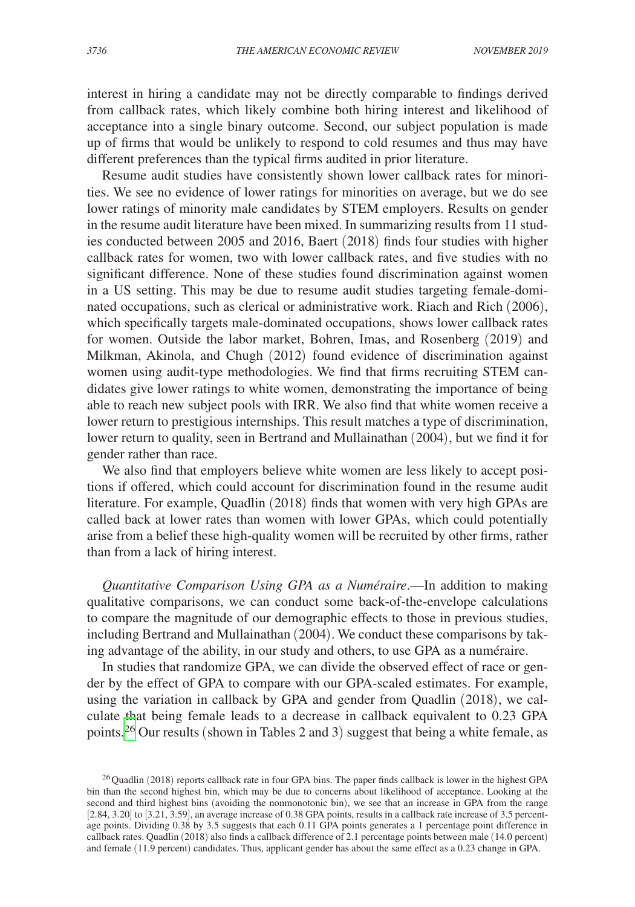interest in hiring a candidate may not be directly comparable to findings derived from callback rates, which likely combine both hiring interest and likelihood of acceptance into a single binary outcome. Second, our subject population is made up of firms that would be unlikely to respond to cold resumes and thus may have different preferences than the typical firms audited in prior literature.

Resume audit studies have consistently shown lower callback rates for minorities. We see no evidence of lower ratings for minorities on average, but we do see lower ratings of minority male candidates by STEM employers. Results on gender in the resume audit literature have been mixed. In summarizing results from 11 studies conducted between 2005 and 2016, Baert (2018) finds four studies with higher callback rates for women, two with lower callback rates, and five studies with no significant difference. None of these studies found discrimination against women in a US setting. This may be due to resume audit studies targeting female-dominated occupations, such as clerical or administrative work. Riach and Rich (2006), which specifically targets male-dominated occupations, shows lower callback rates for women. Outside the labor market, Bohren, Imas, and Rosenberg (2019) and Milkman, Akinola, and Chugh (2012) found evidence of discrimination against women using audit-type methodologies. We find that firms recruiting STEM candidates give lower ratings to white women, demonstrating the importance of being able to reach new subject pools with IRR. We also find that white women receive a lower return to prestigious internships. This result matches a type of discrimination, lower return to quality, seen in Bertrand and Mullainathan (2004), but we find it for gender rather than race.

We also find that employers believe white women are less likely to accept positions if offered, which could account for discrimination found in the resume audit literature. For example, Quadlin (2018) finds that women with very high GPAs are called back at lower rates than women with lower GPAs, which could potentially arise from a belief these high-quality women will be recruited by other firms, rather than from a lack of hiring interest.

*Quantitative Comparison Using GPA as a Numéraire*.—In addition to making qualitative comparisons, we can conduct some back-of-the-envelope calculations to compare the magnitude of our demographic effects to those in previous studies, including Bertrand and Mullainathan (2004). We conduct these comparisons by taking advantage of the ability, in our study and others, to use GPA as a numéraire.

In studies that randomize GPA, we can divide the observed effect of race or gender by the effect of GPA to compare with our GPA-scaled estimates. For example, using the variation in callback by GPA and gender from Quadlin (2018), we calculate that being female leads to a decrease in callback equivalent to 0.23 GPA points.[26](#page-23-0) Our results (shown in Tables 2 and 3) suggest that being a white female, as

<span id="page-23-0"></span><sup>&</sup>lt;sup>26</sup> Quadlin (2018) reports callback rate in four GPA bins. The paper finds callback is lower in the highest GPA bin than the second highest bin, which may be due to concerns about likelihood of acceptance. Looking at the second and third highest bins (avoiding the nonmonotonic bin), we see that an increase in GPA from the range [2.84, 3.20] to [3.21, 3.59], an average increase of 0.38 GPA points, results in a callback rate increase of 3.5 percentage points. Dividing 0.38 by 3.5 suggests that each 0.11 GPA points generates a 1 percentage point difference in callback rates. Quadlin (2018) also finds a callback difference of 2.1 percentage points between male (14.0 percent) and female (11.9 percent) candidates. Thus, applicant gender has about the same effect as a 0.23 change in GPA.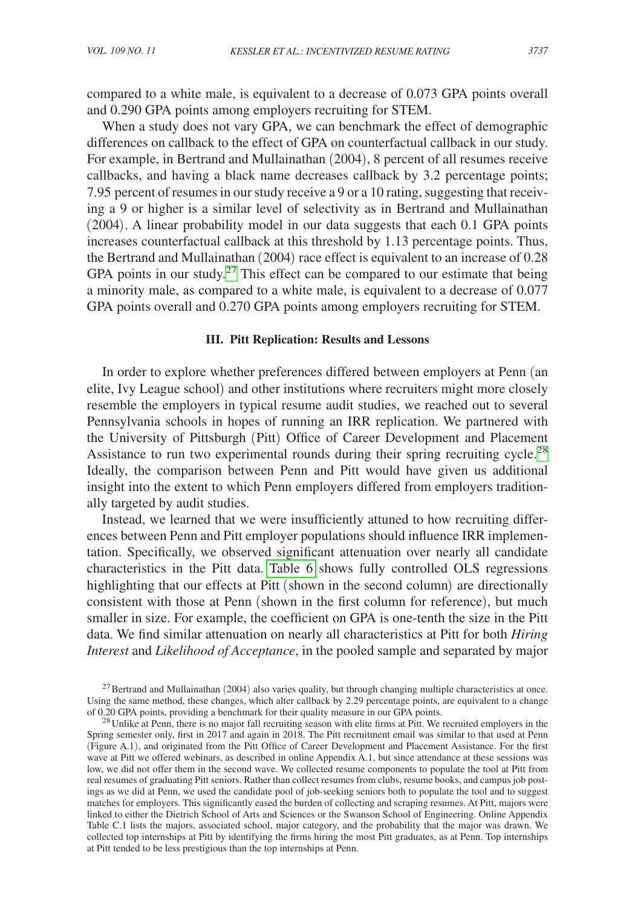compared to a white male, is equivalent to a decrease of 0.073 GPA points overall and 0.290 GPA points among employers recruiting for STEM.

When a study does not vary GPA, we can benchmark the effect of demographic differences on callback to the effect of GPA on counterfactual callback in our study. For example, in Bertrand and Mullainathan (2004), 8 percent of all resumes receive callbacks, and having a black name decreases callback by 3.2 percentage points; 7.95 percent of resumes in our study receive a 9 or a 10 rating, suggesting that receiving a 9 or higher is a similar level of selectivity as in Bertrand and Mullainathan (2004). A linear probability model in our data suggests that each 0.1 GPA points increases counterfactual callback at this threshold by 1.13 percentage points. Thus, the Bertrand and Mullainathan (2004) race effect is equivalent to an increase of 0.28 GPA points in our study.<sup>[27](#page-24-0)</sup> This effect can be compared to our estimate that being a minority male, as compared to a white male, is equivalent to a decrease of 0.077 GPA points overall and 0.270 GPA points among employers recruiting for STEM.

#### **III. Pitt Replication: Results and Lessons**

In order to explore whether preferences differed between employers at Penn (an elite, Ivy League school) and other institutions where recruiters might more closely resemble the employers in typical resume audit studies, we reached out to several Pennsylvania schools in hopes of running an IRR replication. We partnered with the University of Pittsburgh (Pitt) Office of Career Development and Placement Assistance to run two experimental rounds during their spring recruiting cycle.<sup>28</sup> Ideally, the comparison between Penn and Pitt would have given us additional insight into the extent to which Penn employers differed from employers traditionally targeted by audit studies.

Instead, we learned that we were insufficiently attuned to how recruiting differences between Penn and Pitt employer populations should influence IRR implementation. Specifically, we observed significant attenuation over nearly all candidate characteristics in the Pitt data. [Table 6](#page-25-0) shows fully controlled OLS regressions highlighting that our effects at Pitt (shown in the second column) are directionally consistent with those at Penn (shown in the first column for reference), but much smaller in size. For example, the coefficient on GPA is one-tenth the size in the Pitt data. We find similar attenuation on nearly all characteristics at Pitt for both *Hiring Interest* and *Likelihood of Acceptance*, in the pooled sample and separated by major

<span id="page-24-0"></span> $^{27}$ Bertrand and Mullainathan (2004) also varies quality, but through changing multiple characteristics at once. Using the same method, these changes, which alter callback by 2.29 percentage points, are equivalent to a change of 0.20 GPA points, providing a benchmark for their quality measure in our GPA points.

<span id="page-24-1"></span> $^{28}$  Unlike at Penn, there is no major fall recruiting season with elite firms at Pitt. We recruited employers in the Spring semester only, first in 2017 and again in 2018. The Pitt recruitment email was similar to that used at Penn (Figure A.1), and originated from the Pitt Office of Career Development and Placement Assistance. For the first wave at Pitt we offered webinars, as described in online Appendix A.1, but since attendance at these sessions was low, we did not offer them in the second wave. We collected resume components to populate the tool at Pitt from real resumes of graduating Pitt seniors. Rather than collect resumes from clubs, resume books, and campus job postings as we did at Penn, we used the candidate pool of job-seeking seniors both to populate the tool and to suggest matches for employers. This significantly eased the burden of collecting and scraping resumes. At Pitt, majors were linked to either the Dietrich School of Arts and Sciences or the Swanson School of Engineering. Online Appendix Table C.1 lists the majors, associated school, major category, and the probability that the major was drawn. We collected top internships at Pitt by identifying the firms hiring the most Pitt graduates, as at Penn. Top internships at Pitt tended to be less prestigious than the top internships at Penn.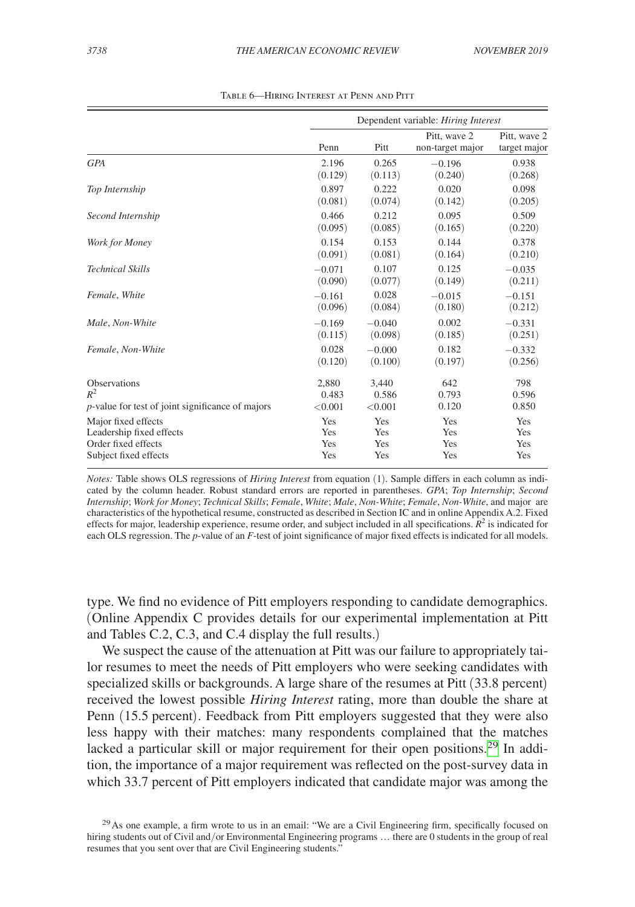<span id="page-25-0"></span>

|                                                          |          | Dependent variable: Hiring Interest |                                  |                              |  |  |
|----------------------------------------------------------|----------|-------------------------------------|----------------------------------|------------------------------|--|--|
|                                                          | Penn     | Pitt                                | Pitt, wave 2<br>non-target major | Pitt, wave 2<br>target major |  |  |
| <b>GPA</b>                                               | 2.196    | 0.265                               | $-0.196$                         | 0.938                        |  |  |
|                                                          | (0.129)  | (0.113)                             | (0.240)                          | (0.268)                      |  |  |
| Top Internship                                           | 0.897    | 0.222                               | 0.020                            | 0.098                        |  |  |
|                                                          | (0.081)  | (0.074)                             | (0.142)                          | (0.205)                      |  |  |
| Second Internship                                        | 0.466    | 0.212                               | 0.095                            | 0.509                        |  |  |
|                                                          | (0.095)  | (0.085)                             | (0.165)                          | (0.220)                      |  |  |
| Work for Money                                           | 0.154    | 0.153                               | 0.144                            | 0.378                        |  |  |
|                                                          | (0.091)  | (0.081)                             | (0.164)                          | (0.210)                      |  |  |
| <b>Technical Skills</b>                                  | $-0.071$ | 0.107                               | 0.125                            | $-0.035$                     |  |  |
|                                                          | (0.090)  | (0.077)                             | (0.149)                          | (0.211)                      |  |  |
| Female, White                                            | $-0.161$ | 0.028                               | $-0.015$                         | $-0.151$                     |  |  |
|                                                          | (0.096)  | (0.084)                             | (0.180)                          | (0.212)                      |  |  |
| Male, Non-White                                          | $-0.169$ | $-0.040$                            | 0.002                            | $-0.331$                     |  |  |
|                                                          | (0.115)  | (0.098)                             | (0.185)                          | (0.251)                      |  |  |
| Female, Non-White                                        | 0.028    | $-0.000$                            | 0.182                            | $-0.332$                     |  |  |
|                                                          | (0.120)  | (0.100)                             | (0.197)                          | (0.256)                      |  |  |
| <b>Observations</b>                                      | 2.880    | 3.440                               | 642                              | 798                          |  |  |
| $R^2$                                                    | 0.483    | 0.586                               | 0.793                            | 0.596                        |  |  |
| <i>p</i> -value for test of joint significance of majors | < 0.001  | < 0.001                             | 0.120                            | 0.850                        |  |  |
| Major fixed effects                                      | Yes      | Yes                                 | Yes                              | Yes                          |  |  |
| Leadership fixed effects                                 | Yes      | Yes                                 | Yes                              | Yes                          |  |  |
| Order fixed effects                                      | Yes      | Yes                                 | Yes                              | Yes                          |  |  |
| Subject fixed effects                                    | Yes      | Yes                                 | Yes                              | Yes                          |  |  |

Table 6—Hiring Interest at Penn and Pitt

*Notes:* Table shows OLS regressions of *Hiring Interest* from equation (1). Sample differs in each column as indicated by the column header. Robust standard errors are reported in parentheses. *GPA*; *Top Internship*; *Second Internship*; *Work for Money*; *Technical Skills*; *Female*, *White*; *Male*, *Non-White*; *Female*, *Non-White*, and major are characteristics of the hypothetical resume, constructed as described in Section IC and in online Appendix A.2. Fixed effects for major, leadership experience, resume order, and subject included in all specifications.  $\hat{R}^2$  is indicated for each OLS regression. The *p*-value of an *F*-test of joint significance of major fixed effects is indicated for all models.

type. We find no evidence of Pitt employers responding to candidate demographics. (Online Appendix C provides details for our experimental implementation at Pitt and Tables C.2, C.3, and C.4 display the full results.)

We suspect the cause of the attenuation at Pitt was our failure to appropriately tailor resumes to meet the needs of Pitt employers who were seeking candidates with specialized skills or backgrounds. A large share of the resumes at Pitt (33.8 percent) received the lowest possible *Hiring Interest* rating, more than double the share at Penn (15.5 percent). Feedback from Pitt employers suggested that they were also less happy with their matches: many respondents complained that the matches lacked a particular skill or major requirement for their open positions.<sup>29</sup> In addition, the importance of a major requirement was reflected on the post-survey data in which 33.7 percent of Pitt employers indicated that candidate major was among the

<span id="page-25-1"></span> $^{29}$ As one example, a firm wrote to us in an email: "We are a Civil Engineering firm, specifically focused on hiring students out of Civil and/or Environmental Engineering programs ... there are 0 students in the group of real resumes that you sent over that are Civil Engineering students."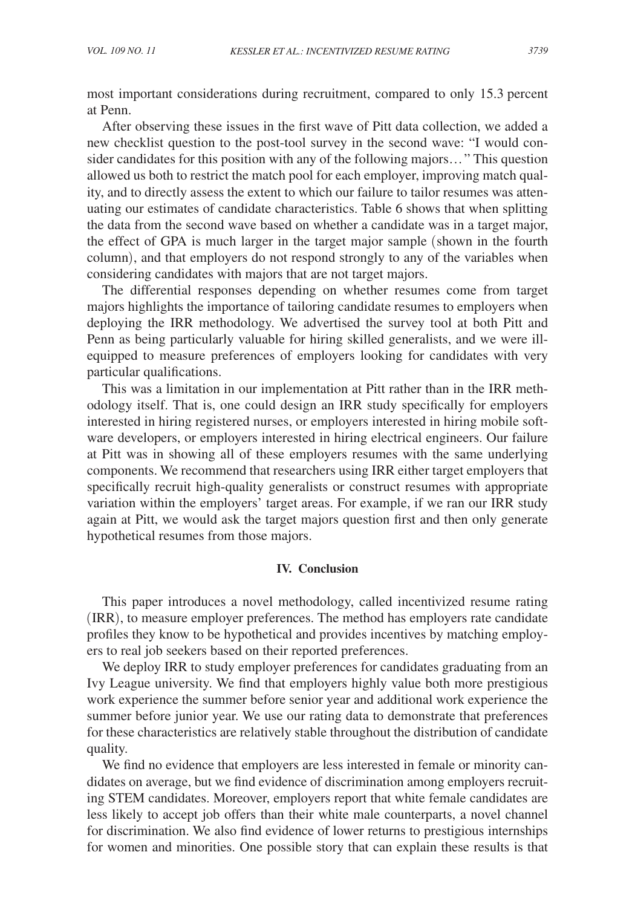most important considerations during recruitment, compared to only 15.3 percent at Penn.

After observing these issues in the first wave of Pitt data collection, we added a new checklist question to the post-tool survey in the second wave: "I would consider candidates for this position with any of the following majors…" This question allowed us both to restrict the match pool for each employer, improving match quality, and to directly assess the extent to which our failure to tailor resumes was attenuating our estimates of candidate characteristics. Table 6 shows that when splitting the data from the second wave based on whether a candidate was in a target major, the effect of GPA is much larger in the target major sample (shown in the fourth column), and that employers do not respond strongly to any of the variables when considering candidates with majors that are not target majors.

The differential responses depending on whether resumes come from target majors highlights the importance of tailoring candidate resumes to employers when deploying the IRR methodology. We advertised the survey tool at both Pitt and Penn as being particularly valuable for hiring skilled generalists, and we were illequipped to measure preferences of employers looking for candidates with very particular qualifications.

This was a limitation in our implementation at Pitt rather than in the IRR methodology itself. That is, one could design an IRR study specifically for employers interested in hiring registered nurses, or employers interested in hiring mobile software developers, or employers interested in hiring electrical engineers. Our failure at Pitt was in showing all of these employers resumes with the same underlying components. We recommend that researchers using IRR either target employers that specifically recruit high-quality generalists or construct resumes with appropriate variation within the employers' target areas. For example, if we ran our IRR study again at Pitt, we would ask the target majors question first and then only generate hypothetical resumes from those majors.

# **IV. Conclusion**

This paper introduces a novel methodology, called incentivized resume rating (IRR), to measure employer preferences. The method has employers rate candidate profiles they know to be hypothetical and provides incentives by matching employers to real job seekers based on their reported preferences.

We deploy IRR to study employer preferences for candidates graduating from an Ivy League university. We find that employers highly value both more prestigious work experience the summer before senior year and additional work experience the summer before junior year. We use our rating data to demonstrate that preferences for these characteristics are relatively stable throughout the distribution of candidate quality.

We find no evidence that employers are less interested in female or minority candidates on average, but we find evidence of discrimination among employers recruiting STEM candidates. Moreover, employers report that white female candidates are less likely to accept job offers than their white male counterparts, a novel channel for discrimination. We also find evidence of lower returns to prestigious internships for women and minorities. One possible story that can explain these results is that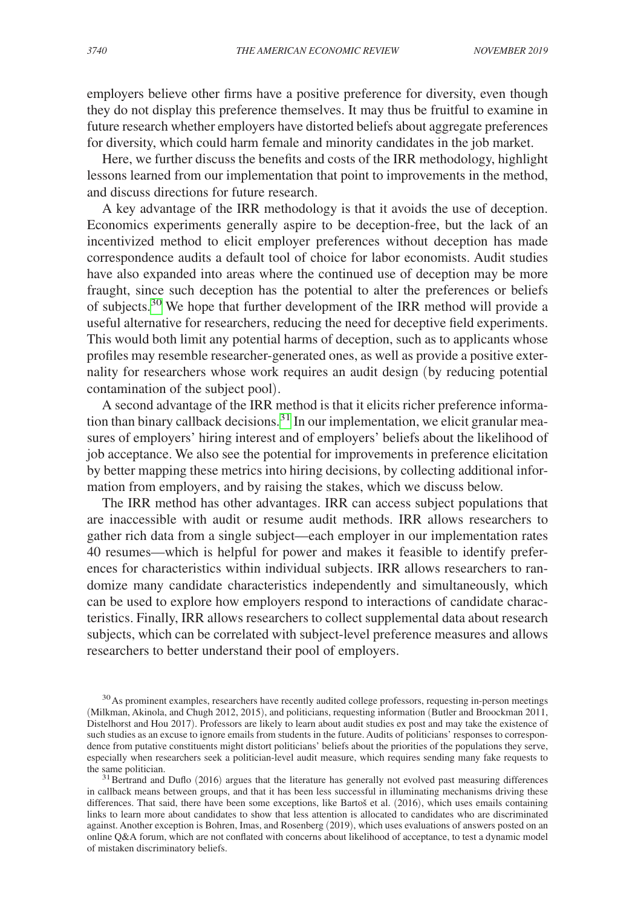employers believe other firms have a positive preference for diversity, even though they do not display this preference themselves. It may thus be fruitful to examine in future research whether employers have distorted beliefs about aggregate preferences for diversity, which could harm female and minority candidates in the job market.

Here, we further discuss the benefits and costs of the IRR methodology, highlight lessons learned from our implementation that point to improvements in the method, and discuss directions for future research.

A key advantage of the IRR methodology is that it avoids the use of deception. Economics experiments generally aspire to be deception-free, but the lack of an incentivized method to elicit employer preferences without deception has made correspondence audits a default tool of choice for labor economists. Audit studies have also expanded into areas where the continued use of deception may be more fraught, since such deception has the potential to alter the preferences or beliefs of subjects.<sup>[30](#page-27-0)</sup> We hope that further development of the IRR method will provide a useful alternative for researchers, reducing the need for deceptive field experiments. This would both limit any potential harms of deception, such as to applicants whose profiles may resemble researcher-generated ones, as well as provide a positive externality for researchers whose work requires an audit design (by reducing potential contamination of the subject pool).

A second advantage of the IRR method is that it elicits richer preference information than binary callback decisions.<sup>31</sup> In our implementation, we elicit granular measures of employers' hiring interest and of employers' beliefs about the likelihood of job acceptance. We also see the potential for improvements in preference elicitation by better mapping these metrics into hiring decisions, by collecting additional information from employers, and by raising the stakes, which we discuss below.

The IRR method has other advantages. IRR can access subject populations that are inaccessible with audit or resume audit methods. IRR allows researchers to gather rich data from a single subject—each employer in our implementation rates 40 resumes—which is helpful for power and makes it feasible to identify preferences for characteristics within individual subjects. IRR allows researchers to randomize many candidate characteristics independently and simultaneously, which can be used to explore how employers respond to interactions of candidate characteristics. Finally, IRR allows researchers to collect supplemental data about research subjects, which can be correlated with subject-level preference measures and allows researchers to better understand their pool of employers.

<span id="page-27-0"></span><sup>&</sup>lt;sup>30</sup>As prominent examples, researchers have recently audited college professors, requesting in-person meetings (Milkman, Akinola, and Chugh 2012, 2015), and politicians, requesting information (Butler and Broockman 2011, Distelhorst and Hou 2017). Professors are likely to learn about audit studies ex post and may take the existence of such studies as an excuse to ignore emails from students in the future. Audits of politicians' responses to correspondence from putative constituents might distort politicians' beliefs about the priorities of the populations they serve, especially when researchers seek a politician-level audit measure, which requires sending many fake requests to

<span id="page-27-1"></span> $13$ Bertrand and Duflo (2016) argues that the literature has generally not evolved past measuring differences in callback means between groups, and that it has been less successful in illuminating mechanisms driving these differences. That said, there have been some exceptions, like Bartoš et al. (2016), which uses emails containing links to learn more about candidates to show that less attention is allocated to candidates who are discriminated against. Another exception is Bohren, Imas, and Rosenberg (2019), which uses evaluations of answers posted on an online Q&A forum, which are not conflated with concerns about likelihood of acceptance, to test a dynamic model of mistaken discriminatory beliefs.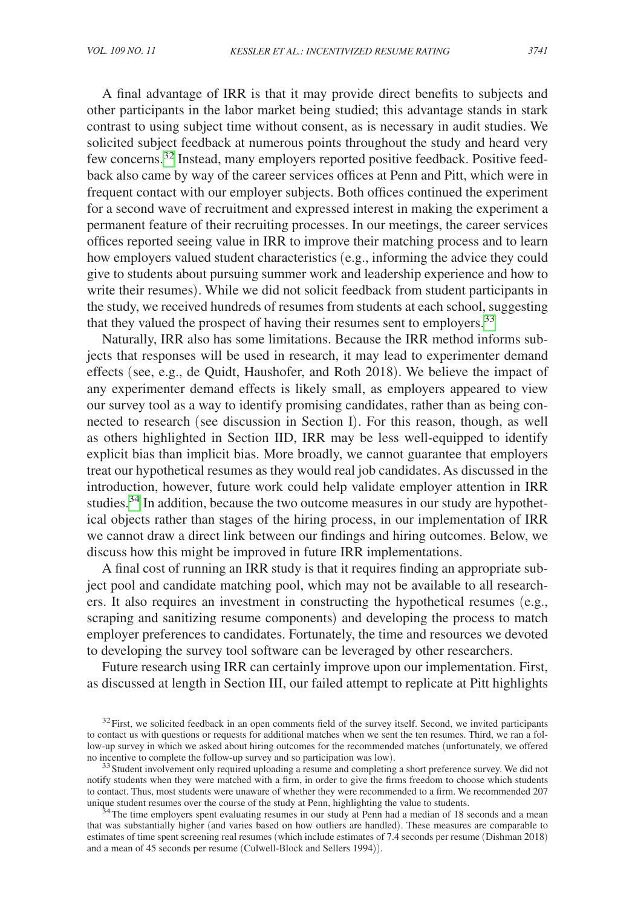A final advantage of IRR is that it may provide direct benefits to subjects and other participants in the labor market being studied; this advantage stands in stark contrast to using subject time without consent, as is necessary in audit studies. We solicited subject feedback at numerous points throughout the study and heard very few concerns.<sup>[32](#page-28-0)</sup> Instead, many employers reported positive feedback. Positive feedback also came by way of the career services offices at Penn and Pitt, which were in frequent contact with our employer subjects. Both offices continued the experiment for a second wave of recruitment and expressed interest in making the experiment a permanent feature of their recruiting processes. In our meetings, the career services offices reported seeing value in IRR to improve their matching process and to learn how employers valued student characteristics (e.g., informing the advice they could give to students about pursuing summer work and leadership experience and how to write their resumes). While we did not solicit feedback from student participants in the study, we received hundreds of resumes from students at each school, suggesting that they valued the prospect of having their resumes sent to employers.<sup>33</sup>

Naturally, IRR also has some limitations. Because the IRR method informs subjects that responses will be used in research, it may lead to experimenter demand effects (see, e.g., de Quidt, Haushofer, and Roth 2018). We believe the impact of any experimenter demand effects is likely small, as employers appeared to view our survey tool as a way to identify promising candidates, rather than as being connected to research (see discussion in Section I). For this reason, though, as well as others highlighted in Section IID, IRR may be less well-equipped to identify explicit bias than implicit bias. More broadly, we cannot guarantee that employers treat our hypothetical resumes as they would real job candidates. As discussed in the introduction, however, future work could help validate employer attention in IRR studies.<sup>[34](#page-28-2)</sup> In addition, because the two outcome measures in our study are hypothetical objects rather than stages of the hiring process, in our implementation of IRR we cannot draw a direct link between our findings and hiring outcomes. Below, we discuss how this might be improved in future IRR implementations.

A final cost of running an IRR study is that it requires finding an appropriate subject pool and candidate matching pool, which may not be available to all researchers. It also requires an investment in constructing the hypothetical resumes (e.g., scraping and sanitizing resume components) and developing the process to match employer preferences to candidates. Fortunately, the time and resources we devoted to developing the survey tool software can be leveraged by other researchers.

Future research using IRR can certainly improve upon our implementation. First, as discussed at length in Section III, our failed attempt to replicate at Pitt highlights

<span id="page-28-0"></span> $32$  First, we solicited feedback in an open comments field of the survey itself. Second, we invited participants to contact us with questions or requests for additional matches when we sent the ten resumes. Third, we ran a follow-up survey in which we asked about hiring outcomes for the recommended matches (unfortunately, we offered no incentive to complete the follow-up survey and so participation was low).

<span id="page-28-1"></span><sup>&</sup>lt;sup>33</sup> Student involvement only required uploading a resume and completing a short preference survey. We did not notify students when they were matched with a firm, in order to give the firms freedom to choose which students to contact. Thus, most students were unaware of whether they were recommended to a firm. We recommended 207 unique student resumes over the course of the study at Penn, highlighting the value to students.

<span id="page-28-2"></span><sup>&</sup>lt;sup>34</sup> The time employers spent evaluating resumes in our study at Penn had a median of 18 seconds and a mean that was substantially higher (and varies based on how outliers are handled). These measures are comparable to estimates of time spent screening real resumes (which include estimates of 7.4 seconds per resume (Dishman 2018) and a mean of 45 seconds per resume (Culwell-Block and Sellers 1994)).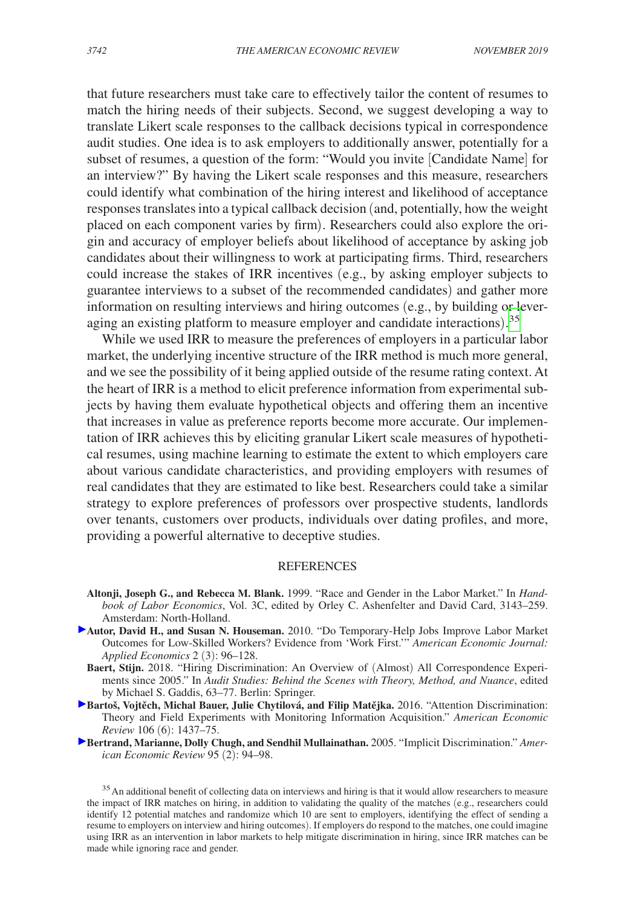that future researchers must take care to effectively tailor the content of resumes to match the hiring needs of their subjects. Second, we suggest developing a way to translate Likert scale responses to the callback decisions typical in correspondence audit studies. One idea is to ask employers to additionally answer, potentially for a subset of resumes, a question of the form: "Would you invite [Candidate Name] for an interview?" By having the Likert scale responses and this measure, researchers could identify what combination of the hiring interest and likelihood of acceptance responses translates into a typical callback decision (and, potentially, how the weight placed on each component varies by firm). Researchers could also explore the origin and accuracy of employer beliefs about likelihood of acceptance by asking job candidates about their willingness to work at participating firms. Third, researchers could increase the stakes of IRR incentives (e.g., by asking employer subjects to guarantee interviews to a subset of the recommended candidates) and gather more information on resulting interviews and hiring outcomes (e.g., by building or lever-aging an existing platform to measure employer and candidate interactions).<sup>[35](#page-29-0)</sup>

While we used IRR to measure the preferences of employers in a particular labor market, the underlying incentive structure of the IRR method is much more general, and we see the possibility of it being applied outside of the resume rating context. At the heart of IRR is a method to elicit preference information from experimental subjects by having them evaluate hypothetical objects and offering them an incentive that increases in value as preference reports become more accurate. Our implementation of IRR achieves this by eliciting granular Likert scale measures of hypothetical resumes, using machine learning to estimate the extent to which employers care about various candidate characteristics, and providing employers with resumes of real candidates that they are estimated to like best. Researchers could take a similar strategy to explore preferences of professors over prospective students, landlords over tenants, customers over products, individuals over dating profiles, and more, providing a powerful alternative to deceptive studies.

#### REFERENCES

- **Altonji, Joseph G., and Rebecca M. Blank.** 1999. "Race and Gender in the Labor Market." In *Handbook of Labor Economics*, Vol. 3C, edited by Orley C. Ashenfelter and David Card, 3143–259. Amsterdam: North-Holland.
- **[A](http://pubs.aeaweb.org/action/showLinks?doi=10.1257%2Faer.20181714&system=10.1257%2Fapp.2.3.96&citationId=p_2)utor, David H., and Susan N. Houseman.** 2010. "Do Temporary-Help Jobs Improve Labor Market Outcomes for Low-Skilled Workers? Evidence from 'Work First.'" *American Economic Journal: Applied Economics* 2 (3): 96–128.
	- **Baert, Stijn.** 2018. "Hiring Discrimination: An Overview of (Almost) All Correspondence Experiments since 2005." In *Audit Studies: Behind the Scenes with Theory, Method, and Nuance*, edited by Michael S. Gaddis, 63–77. Berlin: Springer.
- [B](http://pubs.aeaweb.org/action/showLinks?doi=10.1257%2Faer.20181714&system=10.1257%2Faer.20140571&citationId=p_4)artoš, Vojtěch, Michal Bauer, Julie Chytilová, and Filip Matějka. 2016. "Attention Discrimination: Theory and Field Experiments with Monitoring Information Acquisition." *American Economic Review* 106 (6): 1437–75.
- **[B](http://pubs.aeaweb.org/action/showLinks?doi=10.1257%2Faer.20181714&system=10.1257%2F000282805774670365&citationId=p_5)ertrand, Marianne, Dolly Chugh, and Sendhil Mullainathan.** 2005. "Implicit Discrimination." *American Economic Review* 95 (2): 94–98.

<span id="page-29-0"></span><sup>&</sup>lt;sup>35</sup>An additional benefit of collecting data on interviews and hiring is that it would allow researchers to measure the impact of IRR matches on hiring, in addition to validating the quality of the matches (e.g., researchers could identify 12 potential matches and randomize which 10 are sent to employers, identifying the effect of sending a resume to employers on interview and hiring outcomes). If employers do respond to the matches, one could imagine using IRR as an intervention in labor markets to help mitigate discrimination in hiring, since IRR matches can be made while ignoring race and gender.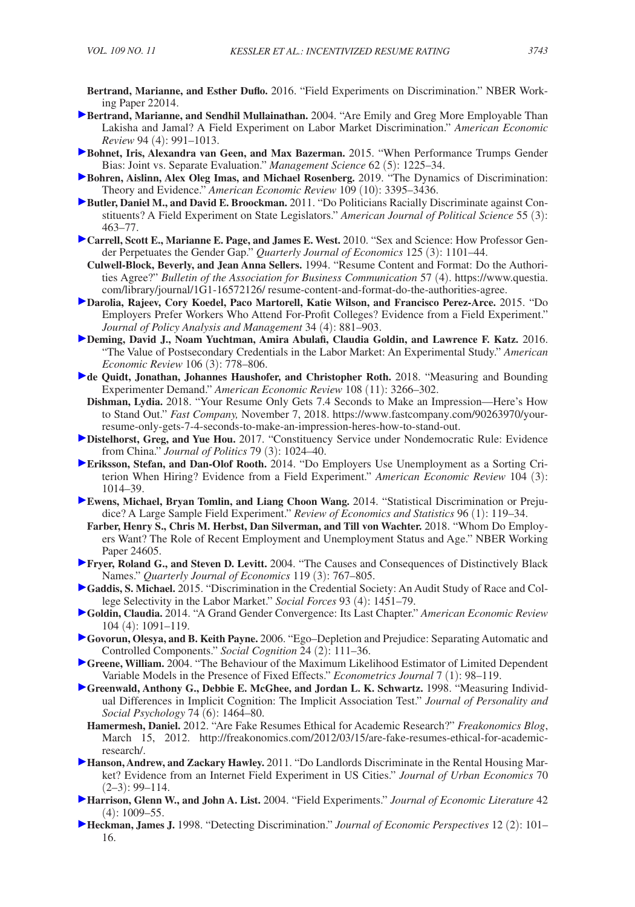- **Bertrand, Marianne, and Esther Duflo.** 2016. "Field Experiments on Discrimination." NBER Working Paper 22014.
- **Bertrand, Marianne, and Sendhil Mullainathan.** 2004. "Are Emily and Greg More Employable Than Lakisha and Jamal? A Field Experiment on Labor Market Discrimination." *American Economic Review* 94 (4): 991–1013.
- **Bohnet, Iris, Alexandra van Geen, and Max Bazerman.** 2015. "When Performance Trumps Gender Bias: Joint vs. Separate Evaluation." *Management Science* 62 (5): 1225–34.
- **Bohren, Aislinn, Alex Oleg Imas, and Michael Rosenberg.** 2019. "The Dynamics of Discrimination: Theory and Evidence." *American Economic Review* 109 (10): 3395–3436.
- **Butler, Daniel M., and David E. Broockman.** 2011. "Do Politicians Racially Discriminate against Constituents? A Field Experiment on State Legislators." *American Journal of Political Science* 55 (3): 463–77.
- **Carrell, Scott E., Marianne E. Page, and James E. West.** 2010. "Sex and Science: How Professor Gender Perpetuates the Gender Gap." *Quarterly Journal of Economics* 125 (3): 1101–44.
	- **Culwell-Block, Beverly, and Jean Anna Sellers.** 1994. "Resume Content and Format: Do the Authorities Agree?" *Bulletin of the Association for Business Communication* 57 (4). [https://www.questia.](https://www.questia.com/library/journal/1G1-16572126/resume-content-and-format-do-the-authorities-agree) [com/library/journal/1G1-16572126/ resume-content-and-format-do-the-authorities-agree](https://www.questia.com/library/journal/1G1-16572126/).
- **Darolia, Rajeev, Cory Koedel, Paco Martorell, Katie Wilson, and Francisco Perez-Arce.** 2015. "Do Employers Prefer Workers Who Attend For-Profit Colleges? Evidence from a Field Experiment." *Journal of Policy Analysis and Management* 34 (4): 881–903.
- **Deming, David J., Noam Yuchtman, Amira Abulafi, Claudia Goldin, and Lawrence F. Katz.** 2016. "The Value of Postsecondary Credentials in the Labor Market: An Experimental Study." *American Economic Review* 106 (3): 778–806.
- **de Quidt, Jonathan, Johannes Haushofer, and Christopher Roth.** 2018. "Measuring and Bounding Experimenter Demand." *American Economic Review* 108 (11): 3266–302.
- **Dishman, Lydia.** 2018. "Your Resume Only Gets 7.4 Seconds to Make an Impression—Here's How to Stand Out." *Fast Company,* November 7, 2018. [https://www.fastcompany.com/90263970/your](https://www.fastcompany.com/90263970/your-resume-only-gets-7-4-seconds-to-make-an-impression-heres-how-to-stand-out)[resume-only-gets-7-4-seconds-to-make-an-impression-heres-how-to-stand-out.](https://www.fastcompany.com/90263970/your-resume-only-gets-7-4-seconds-to-make-an-impression-heres-how-to-stand-out)
- **Distelhorst, Greg, and Yue Hou.** 2017. "Constituency Service under Nondemocratic Rule: Evidence from China." *Journal of Politics* 79 (3): 1024–40.
- **Eriksson, Stefan, and Dan-Olof Rooth.** 2014. "Do Employers Use Unemployment as a Sorting Criterion When Hiring? Evidence from a Field Experiment." *American Economic Review* 104 (3): 1014–39.
- **Ewens, Michael, Bryan Tomlin, and Liang Choon Wang.** 2014. "Statistical Discrimination or Prejudice? A Large Sample Field Experiment." *Review of Economics and Statistics* 96 (1): 119–34.
- **Farber, Henry S., Chris M. Herbst, Dan Silverman, and Till von Wachter.** 2018. "Whom Do Employers Want? The Role of Recent Employment and Unemployment Status and Age." NBER Working Paper 24605.
- **Fryer, Roland G., and Steven D. Levitt.** 2004. "The Causes and Consequences of Distinctively Black Names." *Quarterly Journal of Economics* 119 (3): 767–805.
- **Gaddis, S. Michael.** 2015. "Discrimination in the Credential Society: An Audit Study of Race and College Selectivity in the Labor Market." *Social Forces* 93 (4): 1451–79.
- **Goldin, Claudia.** 2014. "A Grand Gender Convergence: Its Last Chapter." *American Economic Review* 104 (4): 1091–119.
- **Govorun, Olesya, and B. Keith Payne.** 2006. "Ego–Depletion and Prejudice: Separating Automatic and Controlled Components." *Social Cognition* 24 (2): 111–36.
- **Greene, William.** 2004. "The Behaviour of the Maximum Likelihood Estimator of Limited Dependent Variable Models in the Presence of Fixed Effects." *Econometrics Journal* 7 (1): 98–119.
- Greenwald, Anthony G., Debbie E. McGhee, and Jordan L. K. Schwartz. 1998. "Measuring Individual Differences in Implicit Cognition: The Implicit Association Test." *Journal of Personality and Social Psychology* 74 (6): 1464–80.
	- **Hamermesh, Daniel.** 2012. "Are Fake Resumes Ethical for Academic Research?" *Freakonomics Blog*, March 15, 2012. [http://freakonomics.com/2012/03/15/are-fake-resumes-ethical-for-academic](http://freakonomics.com/2012/03/15/are-fake-resumes-ethical-for-academic-research/)[research/.](http://freakonomics.com/2012/03/15/are-fake-resumes-ethical-for-academic-research/)
- **Hanson, Andrew, and Zackary Hawley.** 2011. "Do Landlords Discriminate in the Rental Housing Market? Evidence from an Internet Field Experiment in US Cities." *Journal of Urban Economics* 70  $(2-3)$ : 99-114.
- **Harrison, Glenn W., and John A. List.** 2004. "Field Experiments." *Journal of Economic Literature* 42  $(4): 1009 - 55.$
- **Heckman, James J.** 1998. "Detecting Discrimination." *Journal of Economic Perspectives* 12 (2): 101– 16.